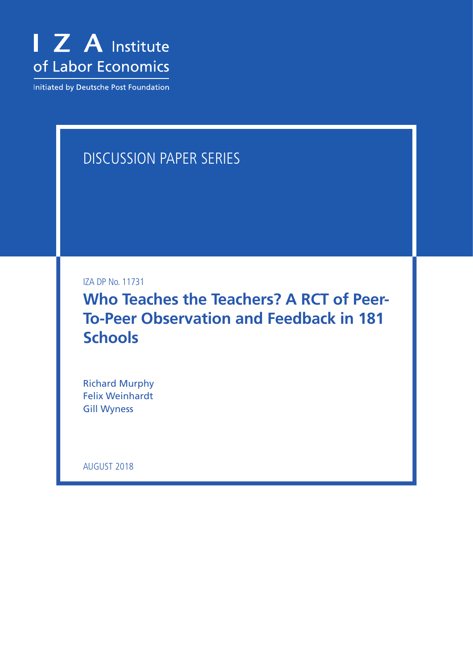

Initiated by Deutsche Post Foundation

# DISCUSSION PAPER SERIES

IZA DP No. 11731

**Who Teaches the Teachers? A RCT of Peer-To-Peer Observation and Feedback in 181 Schools**

Richard Murphy Felix Weinhardt Gill Wyness

AUGUST 2018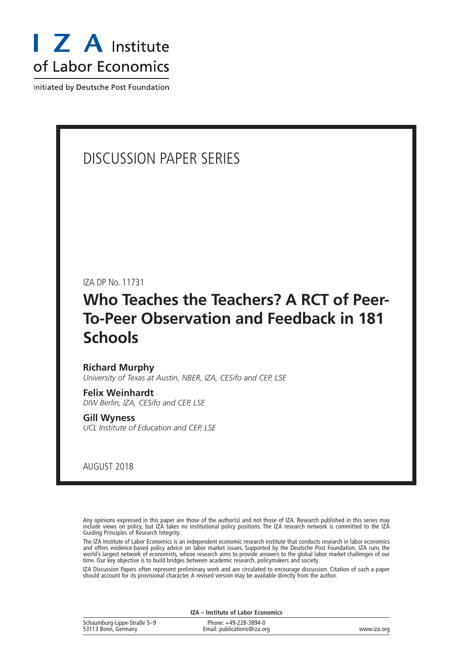

Initiated by Deutsche Post Foundation

# DISCUSSION PAPER SERIES

IZA DP No. 11731

# **Who Teaches the Teachers? A RCT of Peer-To-Peer Observation and Feedback in 181 Schools**

#### **Richard Murphy**

*University of Texas at Austin, NBER, IZA, CESifo and CEP, LSE*

**Felix Weinhardt** *DIW Berlin, IZA, CESifo and CEP, LSE*

**Gill Wyness** *UCL Institute of Education and CEP, LSE*

AUGUST 2018

Any opinions expressed in this paper are those of the author(s) and not those of IZA. Research published in this series may include views on policy, but IZA takes no institutional policy positions. The IZA research network is committed to the IZA Guiding Principles of Research Integrity.

The IZA Institute of Labor Economics is an independent economic research institute that conducts research in labor economics and offers evidence-based policy advice on labor market issues. Supported by the Deutsche Post Foundation, IZA runs the world's largest network of economists, whose research aims to provide answers to the global labor market challenges of our time. Our key objective is to build bridges between academic research, policymakers and society.

IZA Discussion Papers often represent preliminary work and are circulated to encourage discussion. Citation of such a paper should account for its provisional character. A revised version may be available directly from the author.

| <b>IZA</b> – Institute of Labor Economics          |                                                      |             |  |  |  |
|----------------------------------------------------|------------------------------------------------------|-------------|--|--|--|
| Schaumburg-Lippe-Straße 5-9<br>53113 Bonn, Germany | Phone: +49-228-3894-0<br>Email: publications@iza.org | www.iza.org |  |  |  |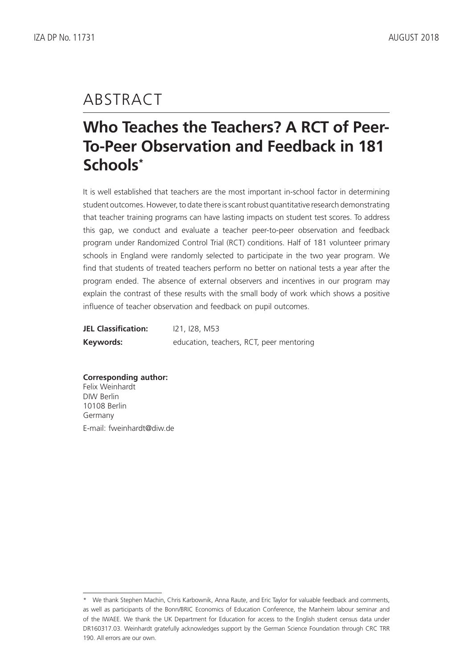# ABSTRACT

# **Who Teaches the Teachers? A RCT of Peer-To-Peer Observation and Feedback in 181 Schools\***

It is well established that teachers are the most important in-school factor in determining student outcomes. However, to date there is scant robust quantitative research demonstrating that teacher training programs can have lasting impacts on student test scores. To address this gap, we conduct and evaluate a teacher peer-to-peer observation and feedback program under Randomized Control Trial (RCT) conditions. Half of 181 volunteer primary schools in England were randomly selected to participate in the two year program. We find that students of treated teachers perform no better on national tests a year after the program ended. The absence of external observers and incentives in our program may explain the contrast of these results with the small body of work which shows a positive influence of teacher observation and feedback on pupil outcomes.

| <b>JEL Classification:</b> | 121, 128, M53                            |
|----------------------------|------------------------------------------|
| Keywords:                  | education, teachers, RCT, peer mentoring |

**Corresponding author:** Felix Weinhardt DIW Berlin 10108 Berlin Germany E-mail: fweinhardt@diw.de

<sup>\*</sup> We thank Stephen Machin, Chris Karbownik, Anna Raute, and Eric Taylor for valuable feedback and comments, as well as participants of the Bonn/BRIC Economics of Education Conference, the Manheim labour seminar and of the IWAEE. We thank the UK Department for Education for access to the English student census data under DR160317.03. Weinhardt gratefully acknowledges support by the German Science Foundation through CRC TRR 190. All errors are our own.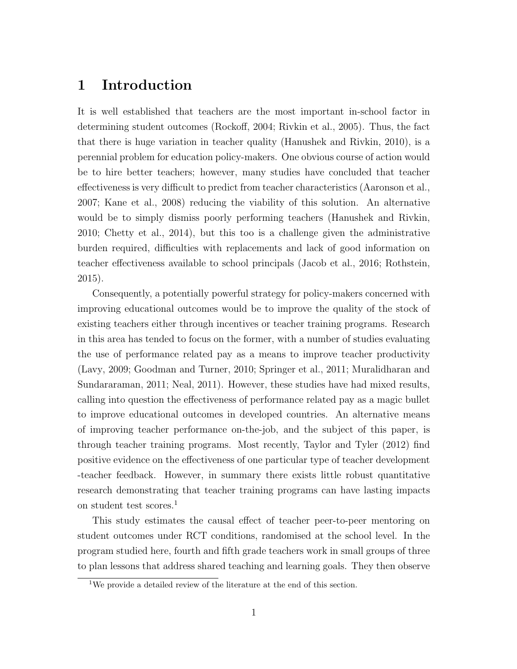## 1 Introduction

It is well established that teachers are the most important in-school factor in determining student outcomes (Rockoff, 2004; Rivkin et al., 2005). Thus, the fact that there is huge variation in teacher quality (Hanushek and Rivkin, 2010), is a perennial problem for education policy-makers. One obvious course of action would be to hire better teachers; however, many studies have concluded that teacher effectiveness is very difficult to predict from teacher characteristics (Aaronson et al., 2007; Kane et al., 2008) reducing the viability of this solution. An alternative would be to simply dismiss poorly performing teachers (Hanushek and Rivkin, 2010; Chetty et al., 2014), but this too is a challenge given the administrative burden required, difficulties with replacements and lack of good information on teacher effectiveness available to school principals (Jacob et al., 2016; Rothstein, 2015).

Consequently, a potentially powerful strategy for policy-makers concerned with improving educational outcomes would be to improve the quality of the stock of existing teachers either through incentives or teacher training programs. Research in this area has tended to focus on the former, with a number of studies evaluating the use of performance related pay as a means to improve teacher productivity (Lavy, 2009; Goodman and Turner, 2010; Springer et al., 2011; Muralidharan and Sundararaman, 2011; Neal, 2011). However, these studies have had mixed results, calling into question the effectiveness of performance related pay as a magic bullet to improve educational outcomes in developed countries. An alternative means of improving teacher performance on-the-job, and the subject of this paper, is through teacher training programs. Most recently, Taylor and Tyler (2012) find positive evidence on the effectiveness of one particular type of teacher development -teacher feedback. However, in summary there exists little robust quantitative research demonstrating that teacher training programs can have lasting impacts on student test scores.<sup>1</sup>

This study estimates the causal effect of teacher peer-to-peer mentoring on student outcomes under RCT conditions, randomised at the school level. In the program studied here, fourth and fifth grade teachers work in small groups of three to plan lessons that address shared teaching and learning goals. They then observe

<sup>&</sup>lt;sup>1</sup>We provide a detailed review of the literature at the end of this section.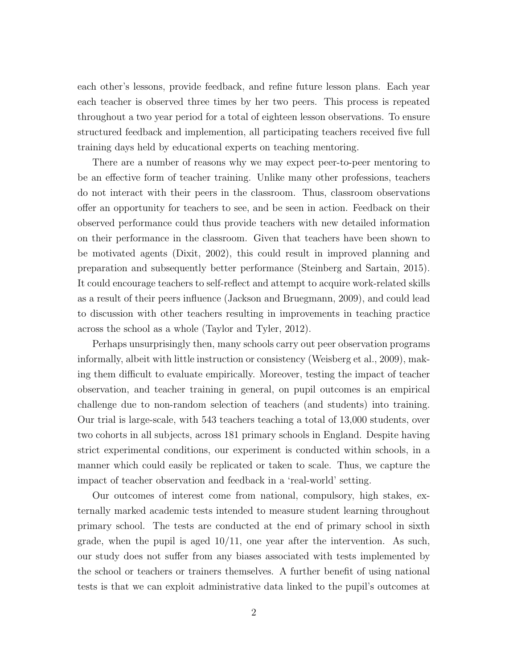each other's lessons, provide feedback, and refine future lesson plans. Each year each teacher is observed three times by her two peers. This process is repeated throughout a two year period for a total of eighteen lesson observations. To ensure structured feedback and implemention, all participating teachers received five full training days held by educational experts on teaching mentoring.

There are a number of reasons why we may expect peer-to-peer mentoring to be an effective form of teacher training. Unlike many other professions, teachers do not interact with their peers in the classroom. Thus, classroom observations offer an opportunity for teachers to see, and be seen in action. Feedback on their observed performance could thus provide teachers with new detailed information on their performance in the classroom. Given that teachers have been shown to be motivated agents (Dixit, 2002), this could result in improved planning and preparation and subsequently better performance (Steinberg and Sartain, 2015). It could encourage teachers to self-reflect and attempt to acquire work-related skills as a result of their peers influence (Jackson and Bruegmann, 2009), and could lead to discussion with other teachers resulting in improvements in teaching practice across the school as a whole (Taylor and Tyler, 2012).

Perhaps unsurprisingly then, many schools carry out peer observation programs informally, albeit with little instruction or consistency (Weisberg et al., 2009), making them difficult to evaluate empirically. Moreover, testing the impact of teacher observation, and teacher training in general, on pupil outcomes is an empirical challenge due to non-random selection of teachers (and students) into training. Our trial is large-scale, with 543 teachers teaching a total of 13,000 students, over two cohorts in all subjects, across 181 primary schools in England. Despite having strict experimental conditions, our experiment is conducted within schools, in a manner which could easily be replicated or taken to scale. Thus, we capture the impact of teacher observation and feedback in a 'real-world' setting.

Our outcomes of interest come from national, compulsory, high stakes, externally marked academic tests intended to measure student learning throughout primary school. The tests are conducted at the end of primary school in sixth grade, when the pupil is aged  $10/11$ , one year after the intervention. As such, our study does not suffer from any biases associated with tests implemented by the school or teachers or trainers themselves. A further benefit of using national tests is that we can exploit administrative data linked to the pupil's outcomes at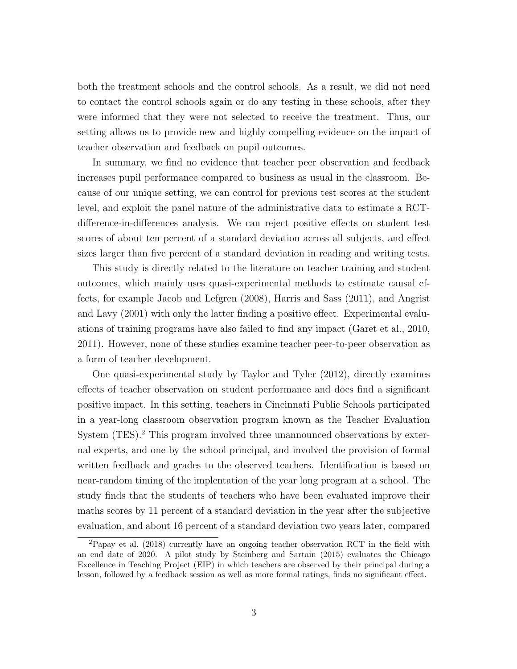both the treatment schools and the control schools. As a result, we did not need to contact the control schools again or do any testing in these schools, after they were informed that they were not selected to receive the treatment. Thus, our setting allows us to provide new and highly compelling evidence on the impact of teacher observation and feedback on pupil outcomes.

In summary, we find no evidence that teacher peer observation and feedback increases pupil performance compared to business as usual in the classroom. Because of our unique setting, we can control for previous test scores at the student level, and exploit the panel nature of the administrative data to estimate a RCTdifference-in-differences analysis. We can reject positive effects on student test scores of about ten percent of a standard deviation across all subjects, and effect sizes larger than five percent of a standard deviation in reading and writing tests.

This study is directly related to the literature on teacher training and student outcomes, which mainly uses quasi-experimental methods to estimate causal effects, for example Jacob and Lefgren (2008), Harris and Sass (2011), and Angrist and Lavy (2001) with only the latter finding a positive effect. Experimental evaluations of training programs have also failed to find any impact (Garet et al., 2010, 2011). However, none of these studies examine teacher peer-to-peer observation as a form of teacher development.

One quasi-experimental study by Taylor and Tyler (2012), directly examines effects of teacher observation on student performance and does find a significant positive impact. In this setting, teachers in Cincinnati Public Schools participated in a year-long classroom observation program known as the Teacher Evaluation System (TES).<sup>2</sup> This program involved three unannounced observations by external experts, and one by the school principal, and involved the provision of formal written feedback and grades to the observed teachers. Identification is based on near-random timing of the implentation of the year long program at a school. The study finds that the students of teachers who have been evaluated improve their maths scores by 11 percent of a standard deviation in the year after the subjective evaluation, and about 16 percent of a standard deviation two years later, compared

<sup>2</sup>Papay et al. (2018) currently have an ongoing teacher observation RCT in the field with an end date of 2020. A pilot study by Steinberg and Sartain (2015) evaluates the Chicago Excellence in Teaching Project (EIP) in which teachers are observed by their principal during a lesson, followed by a feedback session as well as more formal ratings, finds no significant effect.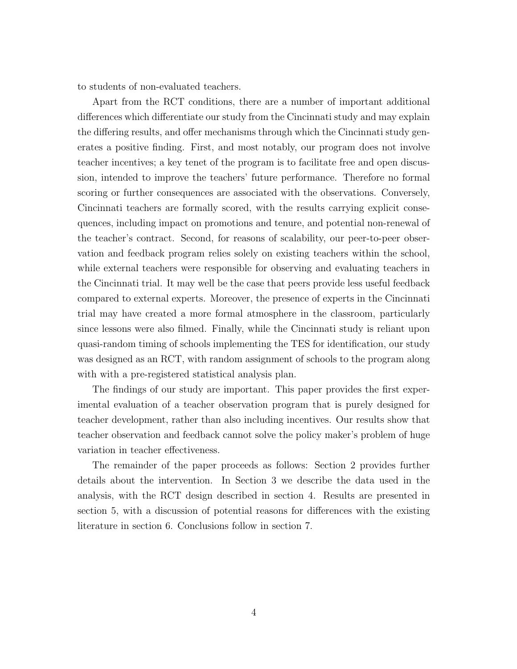to students of non-evaluated teachers.

Apart from the RCT conditions, there are a number of important additional differences which differentiate our study from the Cincinnati study and may explain the differing results, and offer mechanisms through which the Cincinnati study generates a positive finding. First, and most notably, our program does not involve teacher incentives; a key tenet of the program is to facilitate free and open discussion, intended to improve the teachers' future performance. Therefore no formal scoring or further consequences are associated with the observations. Conversely, Cincinnati teachers are formally scored, with the results carrying explicit consequences, including impact on promotions and tenure, and potential non-renewal of the teacher's contract. Second, for reasons of scalability, our peer-to-peer observation and feedback program relies solely on existing teachers within the school, while external teachers were responsible for observing and evaluating teachers in the Cincinnati trial. It may well be the case that peers provide less useful feedback compared to external experts. Moreover, the presence of experts in the Cincinnati trial may have created a more formal atmosphere in the classroom, particularly since lessons were also filmed. Finally, while the Cincinnati study is reliant upon quasi-random timing of schools implementing the TES for identification, our study was designed as an RCT, with random assignment of schools to the program along with with a pre-registered statistical analysis plan.

The findings of our study are important. This paper provides the first experimental evaluation of a teacher observation program that is purely designed for teacher development, rather than also including incentives. Our results show that teacher observation and feedback cannot solve the policy maker's problem of huge variation in teacher effectiveness.

The remainder of the paper proceeds as follows: Section 2 provides further details about the intervention. In Section 3 we describe the data used in the analysis, with the RCT design described in section 4. Results are presented in section 5, with a discussion of potential reasons for differences with the existing literature in section 6. Conclusions follow in section 7.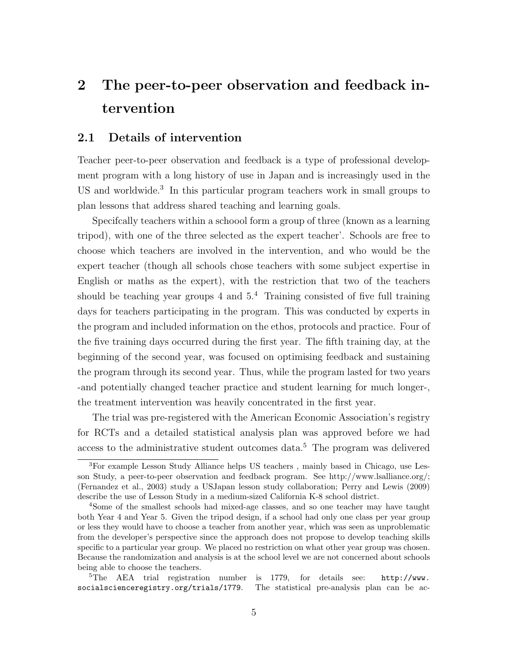# 2 The peer-to-peer observation and feedback intervention

### 2.1 Details of intervention

Teacher peer-to-peer observation and feedback is a type of professional development program with a long history of use in Japan and is increasingly used in the US and worldwide.<sup>3</sup> In this particular program teachers work in small groups to plan lessons that address shared teaching and learning goals.

Specifcally teachers within a schoool form a group of three (known as a learning tripod), with one of the three selected as the expert teacher'. Schools are free to choose which teachers are involved in the intervention, and who would be the expert teacher (though all schools chose teachers with some subject expertise in English or maths as the expert), with the restriction that two of the teachers should be teaching year groups 4 and  $5<sup>4</sup>$  Training consisted of five full training days for teachers participating in the program. This was conducted by experts in the program and included information on the ethos, protocols and practice. Four of the five training days occurred during the first year. The fifth training day, at the beginning of the second year, was focused on optimising feedback and sustaining the program through its second year. Thus, while the program lasted for two years -and potentially changed teacher practice and student learning for much longer-, the treatment intervention was heavily concentrated in the first year.

The trial was pre-registered with the American Economic Association's registry for RCTs and a detailed statistical analysis plan was approved before we had access to the administrative student outcomes data.<sup>5</sup> The program was delivered

<sup>3</sup>For example Lesson Study Alliance helps US teachers , mainly based in Chicago, use Lesson Study, a peer-to-peer observation and feedback program. See http://www.lsalliance.org/; (Fernandez et al., 2003) study a USJapan lesson study collaboration; Perry and Lewis (2009) describe the use of Lesson Study in a medium-sized California K-8 school district.

<sup>4</sup>Some of the smallest schools had mixed-age classes, and so one teacher may have taught both Year 4 and Year 5. Given the tripod design, if a school had only one class per year group or less they would have to choose a teacher from another year, which was seen as unproblematic from the developer's perspective since the approach does not propose to develop teaching skills specific to a particular year group. We placed no restriction on what other year group was chosen. Because the randomization and analysis is at the school level we are not concerned about schools being able to choose the teachers.

<sup>&</sup>lt;sup>5</sup>The AEA trial registration number is 1779, for details see:  $\frac{http://www.}{http://www.}$ socialscienceregistry.org/trials/1779. The statistical pre-analysis plan can be ac-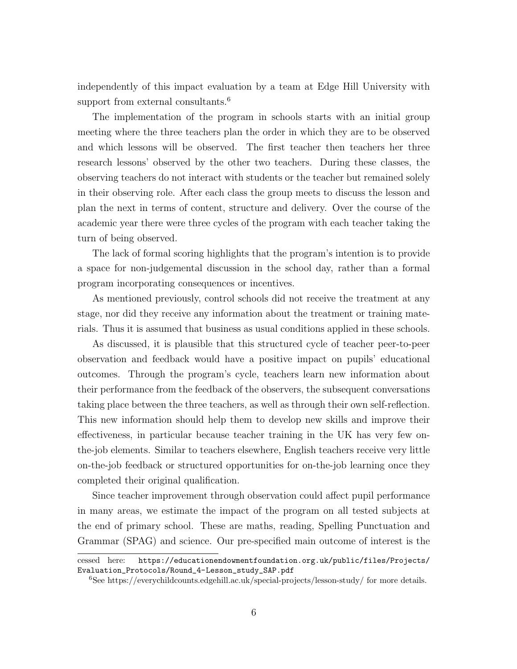independently of this impact evaluation by a team at Edge Hill University with support from external consultants.<sup>6</sup>

The implementation of the program in schools starts with an initial group meeting where the three teachers plan the order in which they are to be observed and which lessons will be observed. The first teacher then teachers her three research lessons' observed by the other two teachers. During these classes, the observing teachers do not interact with students or the teacher but remained solely in their observing role. After each class the group meets to discuss the lesson and plan the next in terms of content, structure and delivery. Over the course of the academic year there were three cycles of the program with each teacher taking the turn of being observed.

The lack of formal scoring highlights that the program's intention is to provide a space for non-judgemental discussion in the school day, rather than a formal program incorporating consequences or incentives.

As mentioned previously, control schools did not receive the treatment at any stage, nor did they receive any information about the treatment or training materials. Thus it is assumed that business as usual conditions applied in these schools.

As discussed, it is plausible that this structured cycle of teacher peer-to-peer observation and feedback would have a positive impact on pupils' educational outcomes. Through the program's cycle, teachers learn new information about their performance from the feedback of the observers, the subsequent conversations taking place between the three teachers, as well as through their own self-reflection. This new information should help them to develop new skills and improve their effectiveness, in particular because teacher training in the UK has very few onthe-job elements. Similar to teachers elsewhere, English teachers receive very little on-the-job feedback or structured opportunities for on-the-job learning once they completed their original qualification.

Since teacher improvement through observation could affect pupil performance in many areas, we estimate the impact of the program on all tested subjects at the end of primary school. These are maths, reading, Spelling Punctuation and Grammar (SPAG) and science. Our pre-specified main outcome of interest is the

cessed here: https://educationendowmentfoundation.org.uk/public/files/Projects/ Evaluation\_Protocols/Round\_4-Lesson\_study\_SAP.pdf

<sup>6</sup>See https://everychildcounts.edgehill.ac.uk/special-projects/lesson-study/ for more details.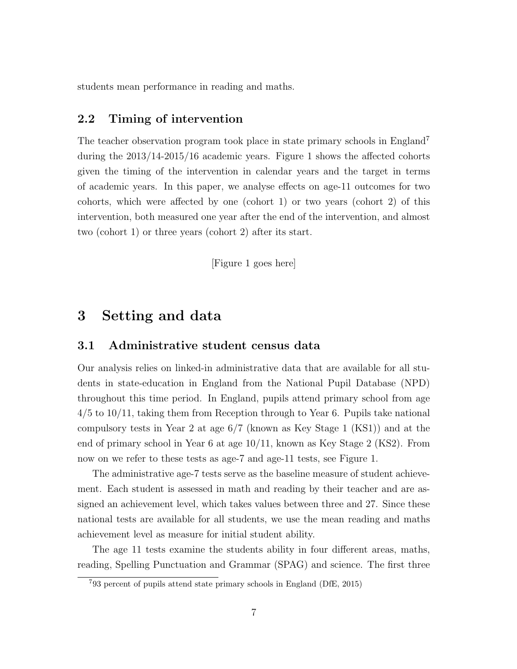students mean performance in reading and maths.

### 2.2 Timing of intervention

The teacher observation program took place in state primary schools in England<sup>7</sup> during the 2013/14-2015/16 academic years. Figure 1 shows the affected cohorts given the timing of the intervention in calendar years and the target in terms of academic years. In this paper, we analyse effects on age-11 outcomes for two cohorts, which were affected by one (cohort 1) or two years (cohort 2) of this intervention, both measured one year after the end of the intervention, and almost two (cohort 1) or three years (cohort 2) after its start.

[Figure 1 goes here]

## 3 Setting and data

### 3.1 Administrative student census data

Our analysis relies on linked-in administrative data that are available for all students in state-education in England from the National Pupil Database (NPD) throughout this time period. In England, pupils attend primary school from age 4/5 to 10/11, taking them from Reception through to Year 6. Pupils take national compulsory tests in Year 2 at age 6/7 (known as Key Stage 1 (KS1)) and at the end of primary school in Year 6 at age 10/11, known as Key Stage 2 (KS2). From now on we refer to these tests as age-7 and age-11 tests, see Figure 1.

The administrative age-7 tests serve as the baseline measure of student achievement. Each student is assessed in math and reading by their teacher and are assigned an achievement level, which takes values between three and 27. Since these national tests are available for all students, we use the mean reading and maths achievement level as measure for initial student ability.

The age 11 tests examine the students ability in four different areas, maths, reading, Spelling Punctuation and Grammar (SPAG) and science. The first three

<sup>7</sup>93 percent of pupils attend state primary schools in England (DfE, 2015)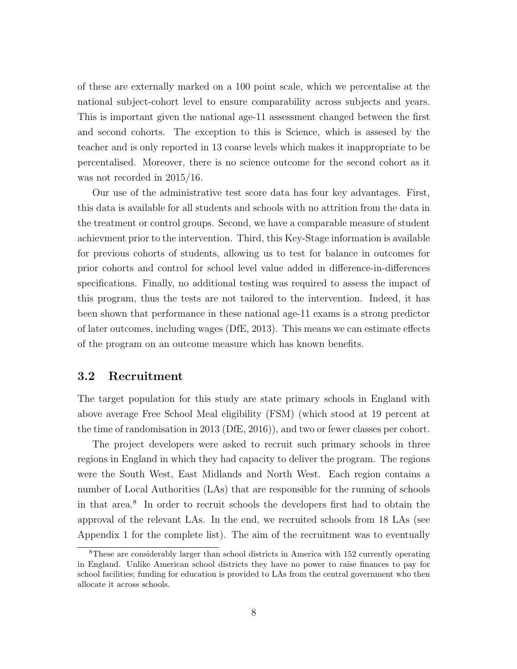of these are externally marked on a 100 point scale, which we percentalise at the national subject-cohort level to ensure comparability across subjects and years. This is important given the national age-11 assessment changed between the first and second cohorts. The exception to this is Science, which is assesed by the teacher and is only reported in 13 coarse levels which makes it inappropriate to be percentalised. Moreover, there is no science outcome for the second cohort as it was not recorded in 2015/16.

Our use of the administrative test score data has four key advantages. First, this data is available for all students and schools with no attrition from the data in the treatment or control groups. Second, we have a comparable measure of student achievment prior to the intervention. Third, this Key-Stage information is available for previous cohorts of students, allowing us to test for balance in outcomes for prior cohorts and control for school level value added in difference-in-differences specifications. Finally, no additional testing was required to assess the impact of this program, thus the tests are not tailored to the intervention. Indeed, it has been shown that performance in these national age-11 exams is a strong predictor of later outcomes, including wages (DfE, 2013). This means we can estimate effects of the program on an outcome measure which has known benefits.

### 3.2 Recruitment

The target population for this study are state primary schools in England with above average Free School Meal eligibility (FSM) (which stood at 19 percent at the time of randomisation in 2013 (DfE, 2016)), and two or fewer classes per cohort.

The project developers were asked to recruit such primary schools in three regions in England in which they had capacity to deliver the program. The regions were the South West, East Midlands and North West. Each region contains a number of Local Authorities (LAs) that are responsible for the running of schools in that area.<sup>8</sup> In order to recruit schools the developers first had to obtain the approval of the relevant LAs. In the end, we recruited schools from 18 LAs (see Appendix 1 for the complete list). The aim of the recruitment was to eventually

<sup>8</sup>These are considerably larger than school districts in America with 152 currently operating in England. Unlike American school districts they have no power to raise finances to pay for school facilities; funding for education is provided to LAs from the central government who then allocate it across schools.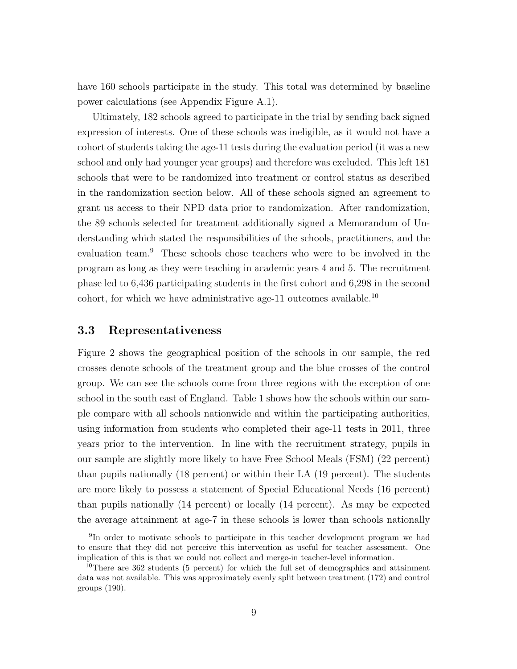have 160 schools participate in the study. This total was determined by baseline power calculations (see Appendix Figure A.1).

Ultimately, 182 schools agreed to participate in the trial by sending back signed expression of interests. One of these schools was ineligible, as it would not have a cohort of students taking the age-11 tests during the evaluation period (it was a new school and only had younger year groups) and therefore was excluded. This left 181 schools that were to be randomized into treatment or control status as described in the randomization section below. All of these schools signed an agreement to grant us access to their NPD data prior to randomization. After randomization, the 89 schools selected for treatment additionally signed a Memorandum of Understanding which stated the responsibilities of the schools, practitioners, and the evaluation team.<sup>9</sup> These schools chose teachers who were to be involved in the program as long as they were teaching in academic years 4 and 5. The recruitment phase led to 6,436 participating students in the first cohort and 6,298 in the second cohort, for which we have administrative age-11 outcomes available.<sup>10</sup>

### 3.3 Representativeness

Figure 2 shows the geographical position of the schools in our sample, the red crosses denote schools of the treatment group and the blue crosses of the control group. We can see the schools come from three regions with the exception of one school in the south east of England. Table 1 shows how the schools within our sample compare with all schools nationwide and within the participating authorities, using information from students who completed their age-11 tests in 2011, three years prior to the intervention. In line with the recruitment strategy, pupils in our sample are slightly more likely to have Free School Meals (FSM) (22 percent) than pupils nationally (18 percent) or within their LA (19 percent). The students are more likely to possess a statement of Special Educational Needs (16 percent) than pupils nationally (14 percent) or locally (14 percent). As may be expected the average attainment at age-7 in these schools is lower than schools nationally

<sup>&</sup>lt;sup>9</sup>In order to motivate schools to participate in this teacher development program we had to ensure that they did not perceive this intervention as useful for teacher assessment. One implication of this is that we could not collect and merge-in teacher-level information.

<sup>&</sup>lt;sup>10</sup>There are 362 students (5 percent) for which the full set of demographics and attainment data was not available. This was approximately evenly split between treatment (172) and control groups (190).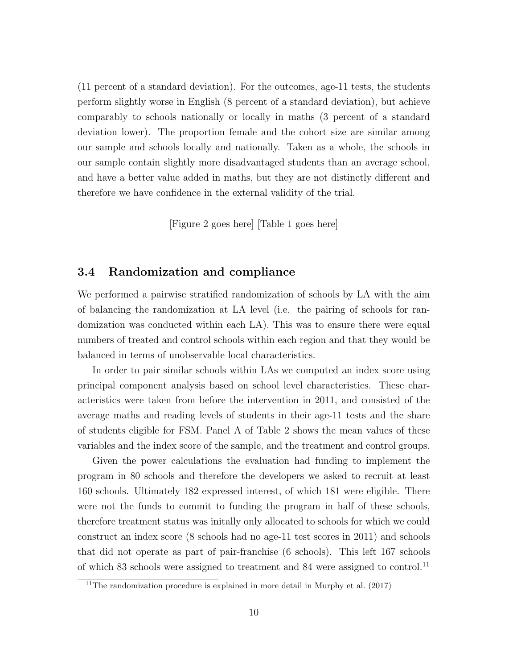(11 percent of a standard deviation). For the outcomes, age-11 tests, the students perform slightly worse in English (8 percent of a standard deviation), but achieve comparably to schools nationally or locally in maths (3 percent of a standard deviation lower). The proportion female and the cohort size are similar among our sample and schools locally and nationally. Taken as a whole, the schools in our sample contain slightly more disadvantaged students than an average school, and have a better value added in maths, but they are not distinctly different and therefore we have confidence in the external validity of the trial.

[Figure 2 goes here] [Table 1 goes here]

### 3.4 Randomization and compliance

We performed a pairwise stratified randomization of schools by LA with the aim of balancing the randomization at LA level (i.e. the pairing of schools for randomization was conducted within each LA). This was to ensure there were equal numbers of treated and control schools within each region and that they would be balanced in terms of unobservable local characteristics.

In order to pair similar schools within LAs we computed an index score using principal component analysis based on school level characteristics. These characteristics were taken from before the intervention in 2011, and consisted of the average maths and reading levels of students in their age-11 tests and the share of students eligible for FSM. Panel A of Table 2 shows the mean values of these variables and the index score of the sample, and the treatment and control groups.

Given the power calculations the evaluation had funding to implement the program in 80 schools and therefore the developers we asked to recruit at least 160 schools. Ultimately 182 expressed interest, of which 181 were eligible. There were not the funds to commit to funding the program in half of these schools, therefore treatment status was initally only allocated to schools for which we could construct an index score (8 schools had no age-11 test scores in 2011) and schools that did not operate as part of pair-franchise (6 schools). This left 167 schools of which 83 schools were assigned to treatment and 84 were assigned to control.<sup>11</sup>

<sup>&</sup>lt;sup>11</sup>The randomization procedure is explained in more detail in Murphy et al.  $(2017)$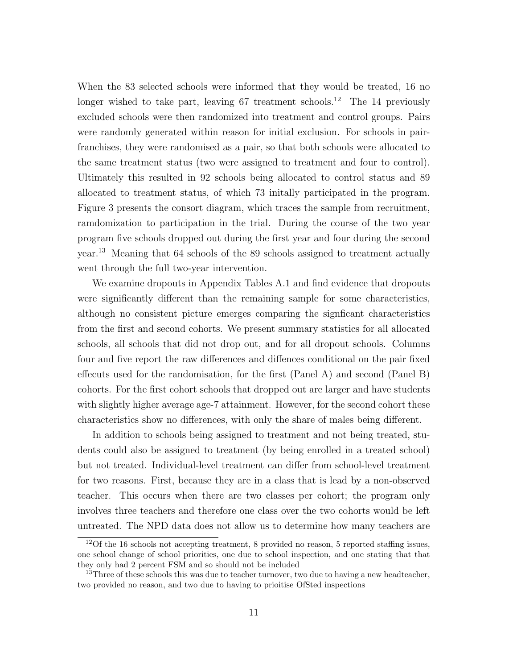When the 83 selected schools were informed that they would be treated, 16 no longer wished to take part, leaving  $67$  treatment schools.<sup>12</sup> The 14 previously excluded schools were then randomized into treatment and control groups. Pairs were randomly generated within reason for initial exclusion. For schools in pairfranchises, they were randomised as a pair, so that both schools were allocated to the same treatment status (two were assigned to treatment and four to control). Ultimately this resulted in 92 schools being allocated to control status and 89 allocated to treatment status, of which 73 initally participated in the program. Figure 3 presents the consort diagram, which traces the sample from recruitment, ramdomization to participation in the trial. During the course of the two year program five schools dropped out during the first year and four during the second year.<sup>13</sup> Meaning that 64 schools of the 89 schools assigned to treatment actually went through the full two-year intervention.

We examine dropouts in Appendix Tables A.1 and find evidence that dropouts were significantly different than the remaining sample for some characteristics, although no consistent picture emerges comparing the signficant characteristics from the first and second cohorts. We present summary statistics for all allocated schools, all schools that did not drop out, and for all dropout schools. Columns four and five report the raw differences and diffences conditional on the pair fixed effecuts used for the randomisation, for the first (Panel A) and second (Panel B) cohorts. For the first cohort schools that dropped out are larger and have students with slightly higher average age-7 attainment. However, for the second cohort these characteristics show no differences, with only the share of males being different.

In addition to schools being assigned to treatment and not being treated, students could also be assigned to treatment (by being enrolled in a treated school) but not treated. Individual-level treatment can differ from school-level treatment for two reasons. First, because they are in a class that is lead by a non-observed teacher. This occurs when there are two classes per cohort; the program only involves three teachers and therefore one class over the two cohorts would be left untreated. The NPD data does not allow us to determine how many teachers are

 $12$ Of the 16 schools not accepting treatment, 8 provided no reason, 5 reported staffing issues, one school change of school priorities, one due to school inspection, and one stating that that they only had 2 percent FSM and so should not be included

 $13$ Three of these schools this was due to teacher turnover, two due to having a new headteacher, two provided no reason, and two due to having to prioitise OfSted inspections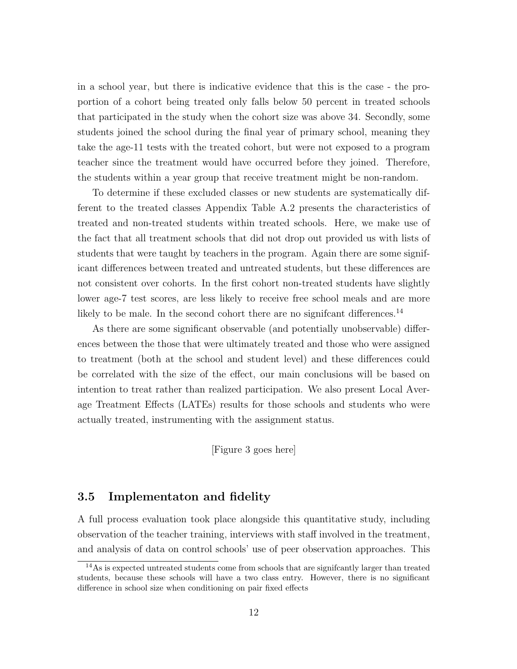in a school year, but there is indicative evidence that this is the case - the proportion of a cohort being treated only falls below 50 percent in treated schools that participated in the study when the cohort size was above 34. Secondly, some students joined the school during the final year of primary school, meaning they take the age-11 tests with the treated cohort, but were not exposed to a program teacher since the treatment would have occurred before they joined. Therefore, the students within a year group that receive treatment might be non-random.

To determine if these excluded classes or new students are systematically different to the treated classes Appendix Table A.2 presents the characteristics of treated and non-treated students within treated schools. Here, we make use of the fact that all treatment schools that did not drop out provided us with lists of students that were taught by teachers in the program. Again there are some significant differences between treated and untreated students, but these differences are not consistent over cohorts. In the first cohort non-treated students have slightly lower age-7 test scores, are less likely to receive free school meals and are more likely to be male. In the second cohort there are no significant differences.<sup>14</sup>

As there are some significant observable (and potentially unobservable) differences between the those that were ultimately treated and those who were assigned to treatment (both at the school and student level) and these differences could be correlated with the size of the effect, our main conclusions will be based on intention to treat rather than realized participation. We also present Local Average Treatment Effects (LATEs) results for those schools and students who were actually treated, instrumenting with the assignment status.

[Figure 3 goes here]

### 3.5 Implementaton and fidelity

A full process evaluation took place alongside this quantitative study, including observation of the teacher training, interviews with staff involved in the treatment, and analysis of data on control schools' use of peer observation approaches. This

 $14\text{As}$  is expected untreated students come from schools that are significantly larger than treated students, because these schools will have a two class entry. However, there is no significant difference in school size when conditioning on pair fixed effects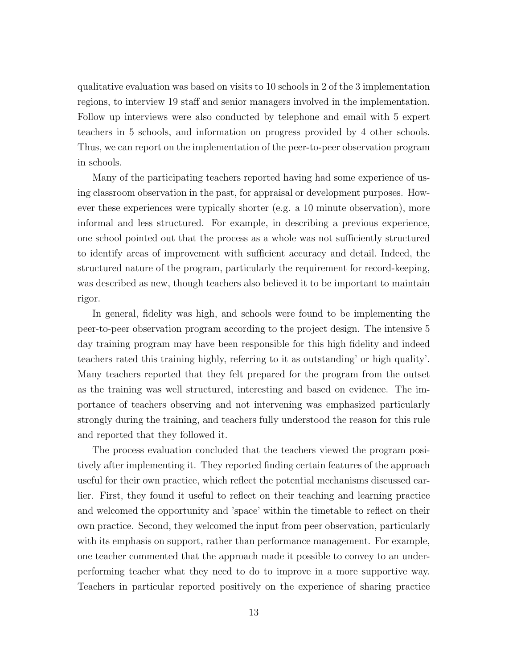qualitative evaluation was based on visits to 10 schools in 2 of the 3 implementation regions, to interview 19 staff and senior managers involved in the implementation. Follow up interviews were also conducted by telephone and email with 5 expert teachers in 5 schools, and information on progress provided by 4 other schools. Thus, we can report on the implementation of the peer-to-peer observation program in schools.

Many of the participating teachers reported having had some experience of using classroom observation in the past, for appraisal or development purposes. However these experiences were typically shorter (e.g. a 10 minute observation), more informal and less structured. For example, in describing a previous experience, one school pointed out that the process as a whole was not sufficiently structured to identify areas of improvement with sufficient accuracy and detail. Indeed, the structured nature of the program, particularly the requirement for record-keeping, was described as new, though teachers also believed it to be important to maintain rigor.

In general, fidelity was high, and schools were found to be implementing the peer-to-peer observation program according to the project design. The intensive 5 day training program may have been responsible for this high fidelity and indeed teachers rated this training highly, referring to it as outstanding' or high quality'. Many teachers reported that they felt prepared for the program from the outset as the training was well structured, interesting and based on evidence. The importance of teachers observing and not intervening was emphasized particularly strongly during the training, and teachers fully understood the reason for this rule and reported that they followed it.

The process evaluation concluded that the teachers viewed the program positively after implementing it. They reported finding certain features of the approach useful for their own practice, which reflect the potential mechanisms discussed earlier. First, they found it useful to reflect on their teaching and learning practice and welcomed the opportunity and 'space' within the timetable to reflect on their own practice. Second, they welcomed the input from peer observation, particularly with its emphasis on support, rather than performance management. For example, one teacher commented that the approach made it possible to convey to an underperforming teacher what they need to do to improve in a more supportive way. Teachers in particular reported positively on the experience of sharing practice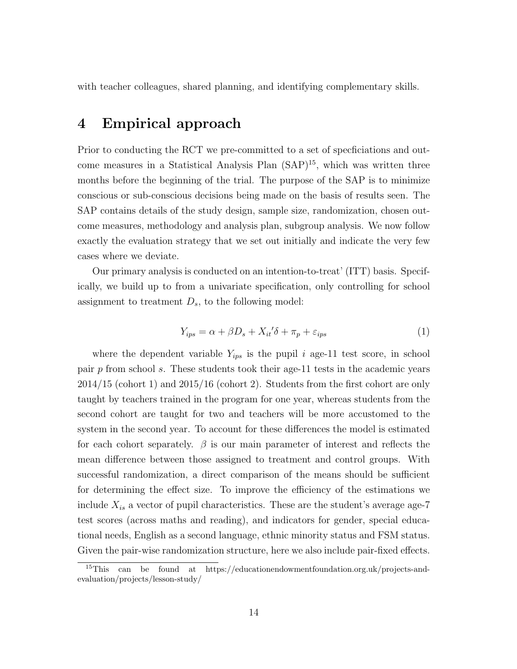with teacher colleagues, shared planning, and identifying complementary skills.

## 4 Empirical approach

Prior to conducting the RCT we pre-committed to a set of specficiations and outcome measures in a Statistical Analysis Plan  $(SAP)^{15}$ , which was written three months before the beginning of the trial. The purpose of the SAP is to minimize conscious or sub-conscious decisions being made on the basis of results seen. The SAP contains details of the study design, sample size, randomization, chosen outcome measures, methodology and analysis plan, subgroup analysis. We now follow exactly the evaluation strategy that we set out initially and indicate the very few cases where we deviate.

Our primary analysis is conducted on an intention-to-treat' (ITT) basis. Specifically, we build up to from a univariate specification, only controlling for school assignment to treatment  $D_s$ , to the following model:

$$
Y_{ips} = \alpha + \beta D_s + X_{it}' \delta + \pi_p + \varepsilon_{ips} \tag{1}
$$

where the dependent variable  $Y_{ips}$  is the pupil i age-11 test score, in school pair p from school s. These students took their age-11 tests in the academic years 2014/15 (cohort 1) and 2015/16 (cohort 2). Students from the first cohort are only taught by teachers trained in the program for one year, whereas students from the second cohort are taught for two and teachers will be more accustomed to the system in the second year. To account for these differences the model is estimated for each cohort separately.  $\beta$  is our main parameter of interest and reflects the mean difference between those assigned to treatment and control groups. With successful randomization, a direct comparison of the means should be sufficient for determining the effect size. To improve the efficiency of the estimations we include  $X_{is}$  a vector of pupil characteristics. These are the student's average age-7 test scores (across maths and reading), and indicators for gender, special educational needs, English as a second language, ethnic minority status and FSM status. Given the pair-wise randomization structure, here we also include pair-fixed effects.

<sup>15</sup>This can be found at https://educationendowmentfoundation.org.uk/projects-andevaluation/projects/lesson-study/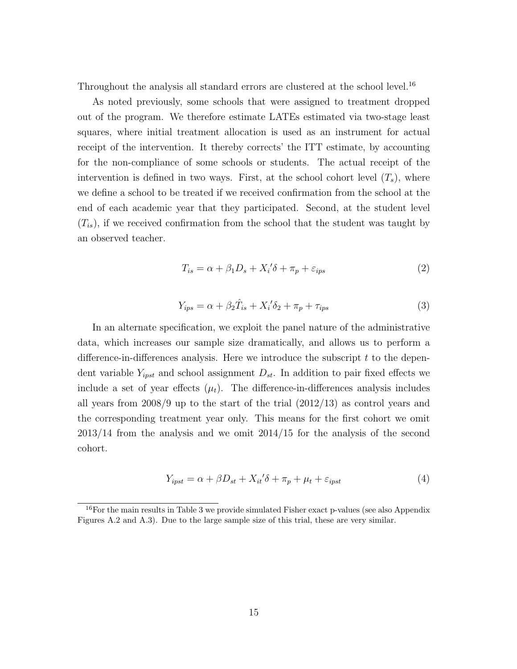Throughout the analysis all standard errors are clustered at the school level.<sup>16</sup>

As noted previously, some schools that were assigned to treatment dropped out of the program. We therefore estimate LATEs estimated via two-stage least squares, where initial treatment allocation is used as an instrument for actual receipt of the intervention. It thereby corrects' the ITT estimate, by accounting for the non-compliance of some schools or students. The actual receipt of the intervention is defined in two ways. First, at the school cohort level  $(T_s)$ , where we define a school to be treated if we received confirmation from the school at the end of each academic year that they participated. Second, at the student level  $(T_{is})$ , if we received confirmation from the school that the student was taught by an observed teacher.

$$
T_{is} = \alpha + \beta_1 D_s + X_i' \delta + \pi_p + \varepsilon_{ips} \tag{2}
$$

$$
Y_{ips} = \alpha + \beta_2 \hat{T}_{is} + X_i' \delta_2 + \pi_p + \tau_{ips} \tag{3}
$$

In an alternate specification, we exploit the panel nature of the administrative data, which increases our sample size dramatically, and allows us to perform a difference-in-differences analysis. Here we introduce the subscript  $t$  to the dependent variable  $Y_{ipst}$  and school assignment  $D_{st}$ . In addition to pair fixed effects we include a set of year effects  $(\mu_t)$ . The difference-in-differences analysis includes all years from  $2008/9$  up to the start of the trial  $(2012/13)$  as control years and the corresponding treatment year only. This means for the first cohort we omit 2013/14 from the analysis and we omit 2014/15 for the analysis of the second cohort.

$$
Y_{ipst} = \alpha + \beta D_{st} + X_{it}'\delta + \pi_p + \mu_t + \varepsilon_{ipst}
$$
\n<sup>(4)</sup>

 $16$ For the main results in Table 3 we provide simulated Fisher exact p-values (see also Appendix Figures A.2 and A.3). Due to the large sample size of this trial, these are very similar.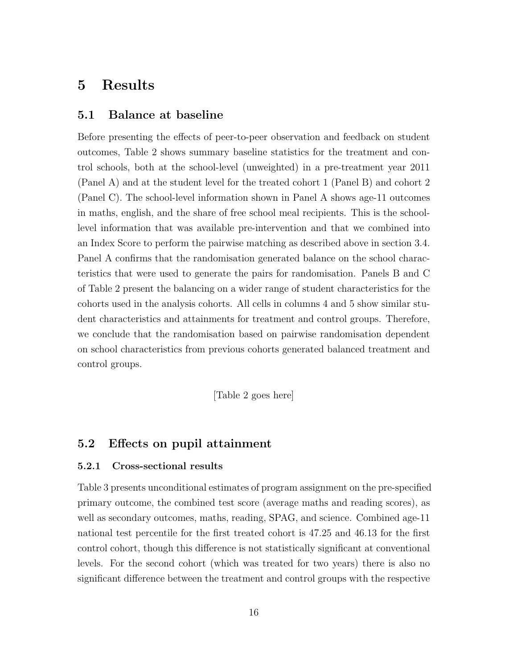## 5 Results

#### 5.1 Balance at baseline

Before presenting the effects of peer-to-peer observation and feedback on student outcomes, Table 2 shows summary baseline statistics for the treatment and control schools, both at the school-level (unweighted) in a pre-treatment year 2011 (Panel A) and at the student level for the treated cohort 1 (Panel B) and cohort 2 (Panel C). The school-level information shown in Panel A shows age-11 outcomes in maths, english, and the share of free school meal recipients. This is the schoollevel information that was available pre-intervention and that we combined into an Index Score to perform the pairwise matching as described above in section 3.4. Panel A confirms that the randomisation generated balance on the school characteristics that were used to generate the pairs for randomisation. Panels B and C of Table 2 present the balancing on a wider range of student characteristics for the cohorts used in the analysis cohorts. All cells in columns 4 and 5 show similar student characteristics and attainments for treatment and control groups. Therefore, we conclude that the randomisation based on pairwise randomisation dependent on school characteristics from previous cohorts generated balanced treatment and control groups.

[Table 2 goes here]

### 5.2 Effects on pupil attainment

#### 5.2.1 Cross-sectional results

Table 3 presents unconditional estimates of program assignment on the pre-specified primary outcome, the combined test score (average maths and reading scores), as well as secondary outcomes, maths, reading, SPAG, and science. Combined age-11 national test percentile for the first treated cohort is 47.25 and 46.13 for the first control cohort, though this difference is not statistically significant at conventional levels. For the second cohort (which was treated for two years) there is also no significant difference between the treatment and control groups with the respective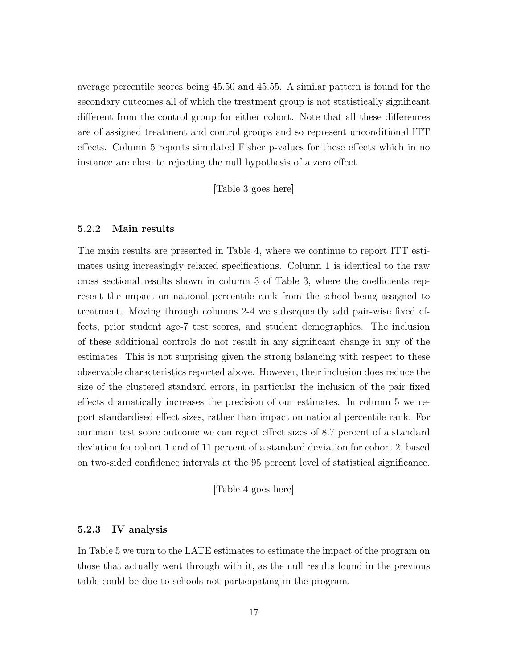average percentile scores being 45.50 and 45.55. A similar pattern is found for the secondary outcomes all of which the treatment group is not statistically significant different from the control group for either cohort. Note that all these differences are of assigned treatment and control groups and so represent unconditional ITT effects. Column 5 reports simulated Fisher p-values for these effects which in no instance are close to rejecting the null hypothesis of a zero effect.

[Table 3 goes here]

#### 5.2.2 Main results

The main results are presented in Table 4, where we continue to report ITT estimates using increasingly relaxed specifications. Column 1 is identical to the raw cross sectional results shown in column 3 of Table 3, where the coefficients represent the impact on national percentile rank from the school being assigned to treatment. Moving through columns 2-4 we subsequently add pair-wise fixed effects, prior student age-7 test scores, and student demographics. The inclusion of these additional controls do not result in any significant change in any of the estimates. This is not surprising given the strong balancing with respect to these observable characteristics reported above. However, their inclusion does reduce the size of the clustered standard errors, in particular the inclusion of the pair fixed effects dramatically increases the precision of our estimates. In column 5 we report standardised effect sizes, rather than impact on national percentile rank. For our main test score outcome we can reject effect sizes of 8.7 percent of a standard deviation for cohort 1 and of 11 percent of a standard deviation for cohort 2, based on two-sided confidence intervals at the 95 percent level of statistical significance.

[Table 4 goes here]

#### 5.2.3 IV analysis

In Table 5 we turn to the LATE estimates to estimate the impact of the program on those that actually went through with it, as the null results found in the previous table could be due to schools not participating in the program.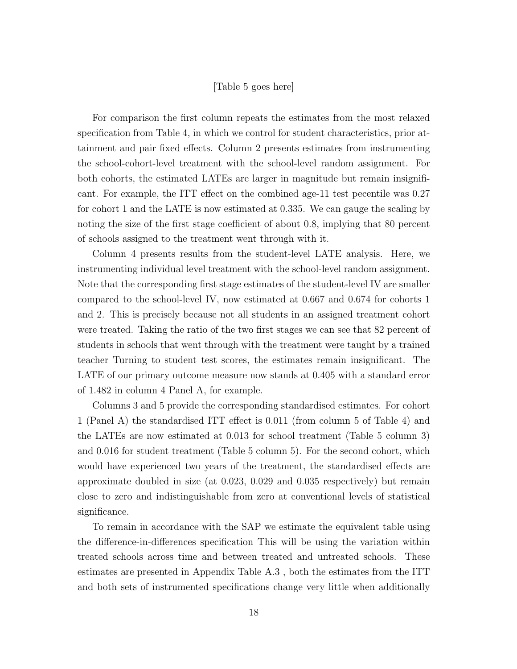#### [Table 5 goes here]

For comparison the first column repeats the estimates from the most relaxed specification from Table 4, in which we control for student characteristics, prior attainment and pair fixed effects. Column 2 presents estimates from instrumenting the school-cohort-level treatment with the school-level random assignment. For both cohorts, the estimated LATEs are larger in magnitude but remain insignificant. For example, the ITT effect on the combined age-11 test pecentile was 0.27 for cohort 1 and the LATE is now estimated at 0.335. We can gauge the scaling by noting the size of the first stage coefficient of about 0.8, implying that 80 percent of schools assigned to the treatment went through with it.

Column 4 presents results from the student-level LATE analysis. Here, we instrumenting individual level treatment with the school-level random assignment. Note that the corresponding first stage estimates of the student-level IV are smaller compared to the school-level IV, now estimated at 0.667 and 0.674 for cohorts 1 and 2. This is precisely because not all students in an assigned treatment cohort were treated. Taking the ratio of the two first stages we can see that 82 percent of students in schools that went through with the treatment were taught by a trained teacher Turning to student test scores, the estimates remain insignificant. The LATE of our primary outcome measure now stands at 0.405 with a standard error of 1.482 in column 4 Panel A, for example.

Columns 3 and 5 provide the corresponding standardised estimates. For cohort 1 (Panel A) the standardised ITT effect is 0.011 (from column 5 of Table 4) and the LATEs are now estimated at 0.013 for school treatment (Table 5 column 3) and 0.016 for student treatment (Table 5 column 5). For the second cohort, which would have experienced two years of the treatment, the standardised effects are approximate doubled in size (at 0.023, 0.029 and 0.035 respectively) but remain close to zero and indistinguishable from zero at conventional levels of statistical significance.

To remain in accordance with the SAP we estimate the equivalent table using the difference-in-differences specification This will be using the variation within treated schools across time and between treated and untreated schools. These estimates are presented in Appendix Table A.3 , both the estimates from the ITT and both sets of instrumented specifications change very little when additionally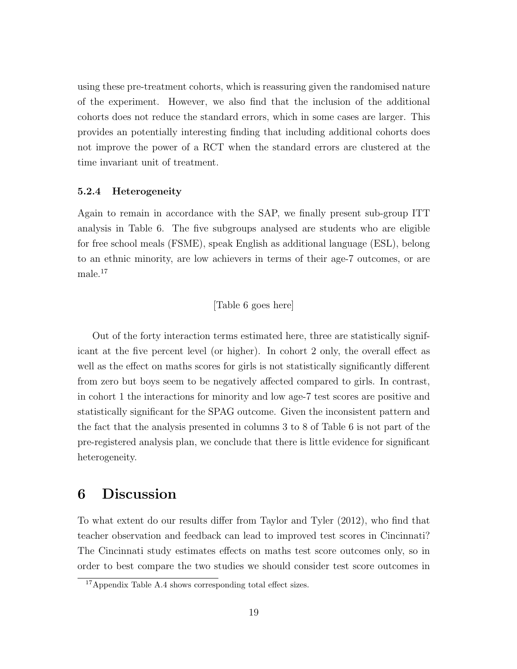using these pre-treatment cohorts, which is reassuring given the randomised nature of the experiment. However, we also find that the inclusion of the additional cohorts does not reduce the standard errors, which in some cases are larger. This provides an potentially interesting finding that including additional cohorts does not improve the power of a RCT when the standard errors are clustered at the time invariant unit of treatment.

#### 5.2.4 Heterogeneity

Again to remain in accordance with the SAP, we finally present sub-group ITT analysis in Table 6. The five subgroups analysed are students who are eligible for free school meals (FSME), speak English as additional language (ESL), belong to an ethnic minority, are low achievers in terms of their age-7 outcomes, or are male.<sup>17</sup>

#### [Table 6 goes here]

Out of the forty interaction terms estimated here, three are statistically significant at the five percent level (or higher). In cohort 2 only, the overall effect as well as the effect on maths scores for girls is not statistically significantly different from zero but boys seem to be negatively affected compared to girls. In contrast, in cohort 1 the interactions for minority and low age-7 test scores are positive and statistically significant for the SPAG outcome. Given the inconsistent pattern and the fact that the analysis presented in columns 3 to 8 of Table 6 is not part of the pre-registered analysis plan, we conclude that there is little evidence for significant heterogeneity.

## 6 Discussion

To what extent do our results differ from Taylor and Tyler (2012), who find that teacher observation and feedback can lead to improved test scores in Cincinnati? The Cincinnati study estimates effects on maths test score outcomes only, so in order to best compare the two studies we should consider test score outcomes in

<sup>17</sup>Appendix Table A.4 shows corresponding total effect sizes.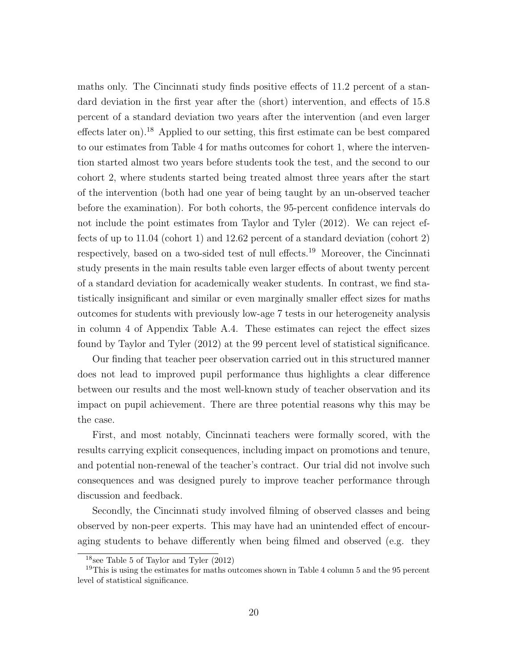maths only. The Cincinnati study finds positive effects of 11.2 percent of a standard deviation in the first year after the (short) intervention, and effects of 15.8 percent of a standard deviation two years after the intervention (and even larger effects later on).<sup>18</sup> Applied to our setting, this first estimate can be best compared to our estimates from Table 4 for maths outcomes for cohort 1, where the intervention started almost two years before students took the test, and the second to our cohort 2, where students started being treated almost three years after the start of the intervention (both had one year of being taught by an un-observed teacher before the examination). For both cohorts, the 95-percent confidence intervals do not include the point estimates from Taylor and Tyler (2012). We can reject effects of up to 11.04 (cohort 1) and 12.62 percent of a standard deviation (cohort 2) respectively, based on a two-sided test of null effects.<sup>19</sup> Moreover, the Cincinnati study presents in the main results table even larger effects of about twenty percent of a standard deviation for academically weaker students. In contrast, we find statistically insignificant and similar or even marginally smaller effect sizes for maths outcomes for students with previously low-age 7 tests in our heterogeneity analysis in column 4 of Appendix Table A.4. These estimates can reject the effect sizes found by Taylor and Tyler (2012) at the 99 percent level of statistical significance.

Our finding that teacher peer observation carried out in this structured manner does not lead to improved pupil performance thus highlights a clear difference between our results and the most well-known study of teacher observation and its impact on pupil achievement. There are three potential reasons why this may be the case.

First, and most notably, Cincinnati teachers were formally scored, with the results carrying explicit consequences, including impact on promotions and tenure, and potential non-renewal of the teacher's contract. Our trial did not involve such consequences and was designed purely to improve teacher performance through discussion and feedback.

Secondly, the Cincinnati study involved filming of observed classes and being observed by non-peer experts. This may have had an unintended effect of encouraging students to behave differently when being filmed and observed (e.g. they

 $18$ see Table 5 of Taylor and Tyler  $(2012)$ 

<sup>&</sup>lt;sup>19</sup>This is using the estimates for maths outcomes shown in Table 4 column 5 and the 95 percent level of statistical significance.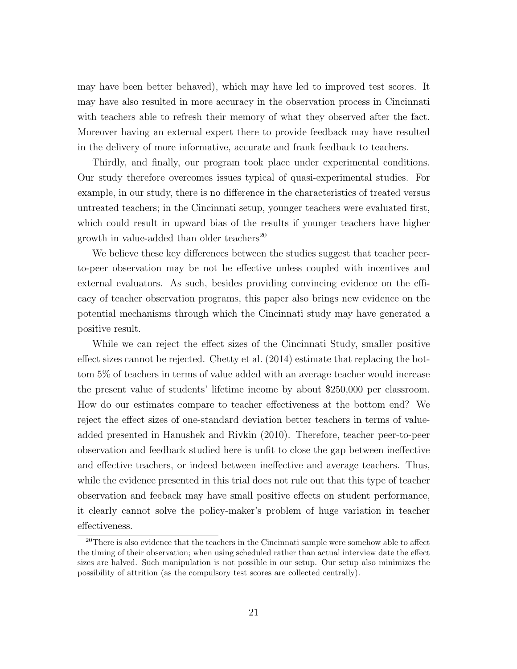may have been better behaved), which may have led to improved test scores. It may have also resulted in more accuracy in the observation process in Cincinnati with teachers able to refresh their memory of what they observed after the fact. Moreover having an external expert there to provide feedback may have resulted in the delivery of more informative, accurate and frank feedback to teachers.

Thirdly, and finally, our program took place under experimental conditions. Our study therefore overcomes issues typical of quasi-experimental studies. For example, in our study, there is no difference in the characteristics of treated versus untreated teachers; in the Cincinnati setup, younger teachers were evaluated first, which could result in upward bias of the results if younger teachers have higher growth in value-added than older teachers<sup>20</sup>

We believe these key differences between the studies suggest that teacher peerto-peer observation may be not be effective unless coupled with incentives and external evaluators. As such, besides providing convincing evidence on the efficacy of teacher observation programs, this paper also brings new evidence on the potential mechanisms through which the Cincinnati study may have generated a positive result.

While we can reject the effect sizes of the Cincinnati Study, smaller positive effect sizes cannot be rejected. Chetty et al. (2014) estimate that replacing the bottom 5% of teachers in terms of value added with an average teacher would increase the present value of students' lifetime income by about \$250,000 per classroom. How do our estimates compare to teacher effectiveness at the bottom end? We reject the effect sizes of one-standard deviation better teachers in terms of valueadded presented in Hanushek and Rivkin (2010). Therefore, teacher peer-to-peer observation and feedback studied here is unfit to close the gap between ineffective and effective teachers, or indeed between ineffective and average teachers. Thus, while the evidence presented in this trial does not rule out that this type of teacher observation and feeback may have small positive effects on student performance, it clearly cannot solve the policy-maker's problem of huge variation in teacher effectiveness.

<sup>&</sup>lt;sup>20</sup>There is also evidence that the teachers in the Cincinnati sample were somehow able to affect the timing of their observation; when using scheduled rather than actual interview date the effect sizes are halved. Such manipulation is not possible in our setup. Our setup also minimizes the possibility of attrition (as the compulsory test scores are collected centrally).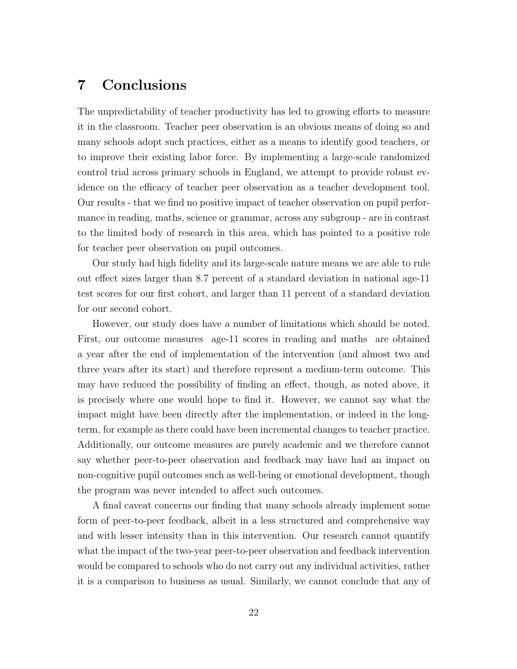## 7 Conclusions

The unpredictability of teacher productivity has led to growing efforts to measure it in the classroom. Teacher peer observation is an obvious means of doing so and many schools adopt such practices, either as a means to identify good teachers, or to improve their existing labor force. By implementing a large-scale randomized control trial across primary schools in England, we attempt to provide robust evidence on the efficacy of teacher peer observation as a teacher development tool. Our results - that we find no positive impact of teacher observation on pupil performance in reading, maths, science or grammar, across any subgroup - are in contrast to the limited body of research in this area, which has pointed to a positive role for teacher peer observation on pupil outcomes.

Our study had high fidelity and its large-scale nature means we are able to rule out effect sizes larger than 8.7 percent of a standard deviation in national age-11 test scores for our first cohort, and larger than 11 percent of a standard deviation for our second cohort.

However, our study does have a number of limitations which should be noted. First, our outcome measures age-11 scores in reading and maths are obtained a year after the end of implementation of the intervention (and almost two and three years after its start) and therefore represent a medium-term outcome. This may have reduced the possibility of finding an effect, though, as noted above, it is precisely where one would hope to find it. However, we cannot say what the impact might have been directly after the implementation, or indeed in the longterm, for example as there could have been incremental changes to teacher practice. Additionally, our outcome measures are purely academic and we therefore cannot say whether peer-to-peer observation and feedback may have had an impact on non-cognitive pupil outcomes such as well-being or emotional development, though the program was never intended to affect such outcomes.

A final caveat concerns our finding that many schools already implement some form of peer-to-peer feedback, albeit in a less structured and comprehensive way and with lesser intensity than in this intervention. Our research cannot quantify what the impact of the two-year peer-to-peer observation and feedback intervention would be compared to schools who do not carry out any individual activities, rather it is a comparison to business as usual. Similarly, we cannot conclude that any of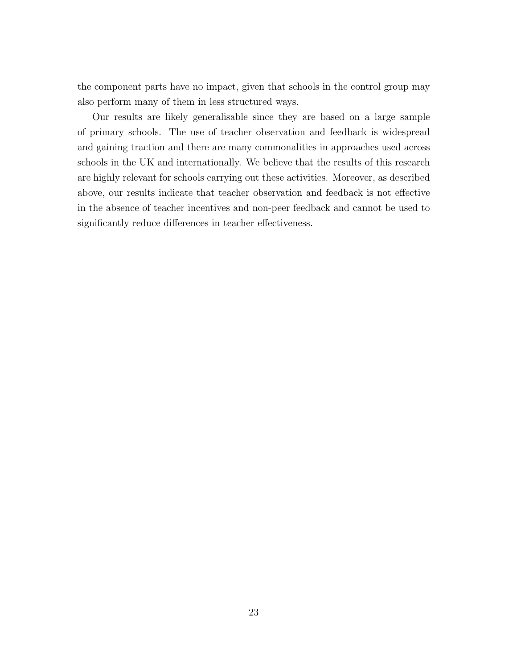the component parts have no impact, given that schools in the control group may also perform many of them in less structured ways.

Our results are likely generalisable since they are based on a large sample of primary schools. The use of teacher observation and feedback is widespread and gaining traction and there are many commonalities in approaches used across schools in the UK and internationally. We believe that the results of this research are highly relevant for schools carrying out these activities. Moreover, as described above, our results indicate that teacher observation and feedback is not effective in the absence of teacher incentives and non-peer feedback and cannot be used to significantly reduce differences in teacher effectiveness.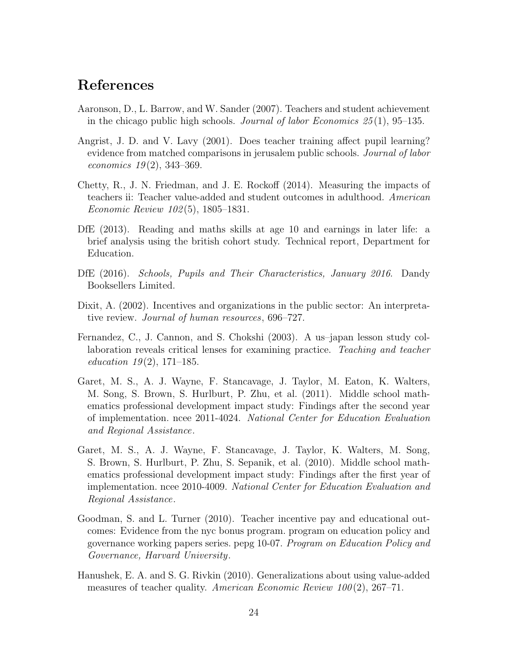## References

- Aaronson, D., L. Barrow, and W. Sander (2007). Teachers and student achievement in the chicago public high schools. Journal of labor Economics  $25(1)$ , 95–135.
- Angrist, J. D. and V. Lavy (2001). Does teacher training affect pupil learning? evidence from matched comparisons in jerusalem public schools. *Journal of labor* economics  $19(2)$ , 343-369.
- Chetty, R., J. N. Friedman, and J. E. Rockoff (2014). Measuring the impacts of teachers ii: Teacher value-added and student outcomes in adulthood. American Economic Review 102 (5), 1805–1831.
- DfE (2013). Reading and maths skills at age 10 and earnings in later life: a brief analysis using the british cohort study. Technical report, Department for Education.
- DfE (2016). Schools, Pupils and Their Characteristics, January 2016. Dandy Booksellers Limited.
- Dixit, A. (2002). Incentives and organizations in the public sector: An interpretative review. *Journal of human resources*, 696–727.
- Fernandez, C., J. Cannon, and S. Chokshi (2003). A us–japan lesson study collaboration reveals critical lenses for examining practice. Teaching and teacher education  $19(2)$ , 171–185.
- Garet, M. S., A. J. Wayne, F. Stancavage, J. Taylor, M. Eaton, K. Walters, M. Song, S. Brown, S. Hurlburt, P. Zhu, et al. (2011). Middle school mathematics professional development impact study: Findings after the second year of implementation. ncee 2011-4024. National Center for Education Evaluation and Regional Assistance.
- Garet, M. S., A. J. Wayne, F. Stancavage, J. Taylor, K. Walters, M. Song, S. Brown, S. Hurlburt, P. Zhu, S. Sepanik, et al. (2010). Middle school mathematics professional development impact study: Findings after the first year of implementation. ncee 2010-4009. National Center for Education Evaluation and Regional Assistance.
- Goodman, S. and L. Turner (2010). Teacher incentive pay and educational outcomes: Evidence from the nyc bonus program. program on education policy and governance working papers series. pepg 10-07. Program on Education Policy and Governance, Harvard University.
- Hanushek, E. A. and S. G. Rivkin (2010). Generalizations about using value-added measures of teacher quality. American Economic Review  $100(2)$ , 267–71.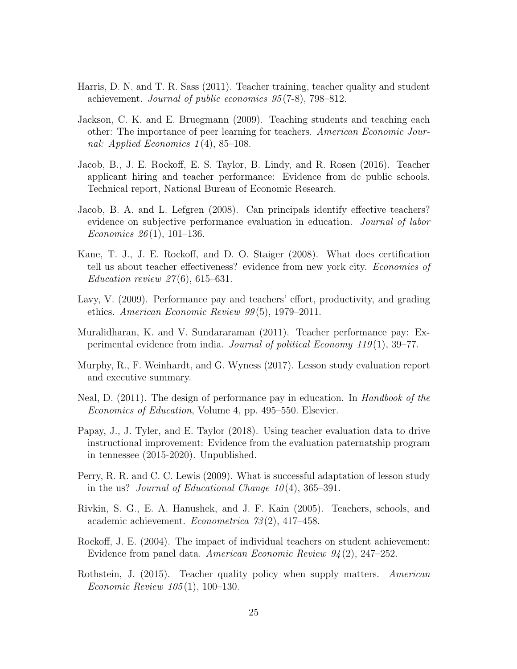- Harris, D. N. and T. R. Sass (2011). Teacher training, teacher quality and student achievement. Journal of public economics 95 (7-8), 798–812.
- Jackson, C. K. and E. Bruegmann (2009). Teaching students and teaching each other: The importance of peer learning for teachers. American Economic Journal: Applied Economics  $1(4)$ , 85-108.
- Jacob, B., J. E. Rockoff, E. S. Taylor, B. Lindy, and R. Rosen (2016). Teacher applicant hiring and teacher performance: Evidence from dc public schools. Technical report, National Bureau of Economic Research.
- Jacob, B. A. and L. Lefgren (2008). Can principals identify effective teachers? evidence on subjective performance evaluation in education. Journal of labor Economics  $26(1)$ , 101–136.
- Kane, T. J., J. E. Rockoff, and D. O. Staiger (2008). What does certification tell us about teacher effectiveness? evidence from new york city. Economics of *Education review 27*(6), 615–631.
- Lavy, V. (2009). Performance pay and teachers' effort, productivity, and grading ethics. American Economic Review  $99(5)$ , 1979–2011.
- Muralidharan, K. and V. Sundararaman (2011). Teacher performance pay: Experimental evidence from india. Journal of political Economy  $119(1)$ , 39–77.
- Murphy, R., F. Weinhardt, and G. Wyness (2017). Lesson study evaluation report and executive summary.
- Neal, D. (2011). The design of performance pay in education. In *Handbook of the* Economics of Education, Volume 4, pp. 495–550. Elsevier.
- Papay, J., J. Tyler, and E. Taylor (2018). Using teacher evaluation data to drive instructional improvement: Evidence from the evaluation paternatship program in tennessee (2015-2020). Unpublished.
- Perry, R. R. and C. C. Lewis (2009). What is successful adaptation of lesson study in the us? Journal of Educational Change  $10(4)$ , 365–391.
- Rivkin, S. G., E. A. Hanushek, and J. F. Kain (2005). Teachers, schools, and academic achievement. Econometrica 73 (2), 417–458.
- Rockoff, J. E. (2004). The impact of individual teachers on student achievement: Evidence from panel data. American Economic Review 94 (2), 247–252.
- Rothstein, J. (2015). Teacher quality policy when supply matters. American Economic Review 105 (1), 100–130.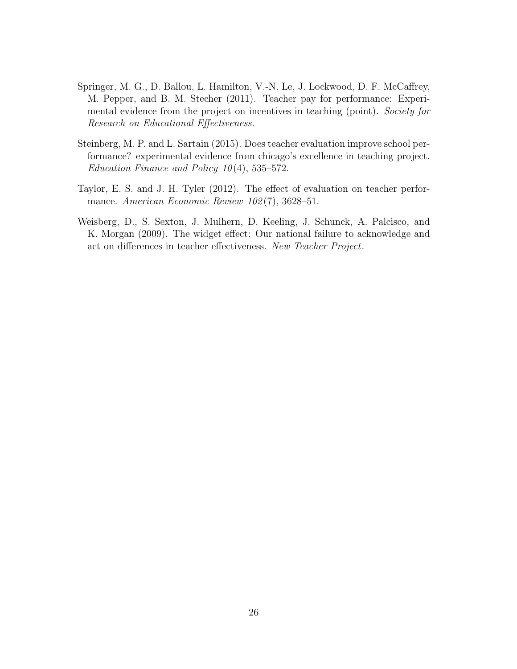- Springer, M. G., D. Ballou, L. Hamilton, V.-N. Le, J. Lockwood, D. F. McCaffrey, M. Pepper, and B. M. Stecher (2011). Teacher pay for performance: Experimental evidence from the project on incentives in teaching (point). Society for Research on Educational Effectiveness.
- Steinberg, M. P. and L. Sartain (2015). Does teacher evaluation improve school performance? experimental evidence from chicago's excellence in teaching project. Education Finance and Policy  $10(4)$ , 535–572.
- Taylor, E. S. and J. H. Tyler (2012). The effect of evaluation on teacher performance. American Economic Review 102(7), 3628-51.
- Weisberg, D., S. Sexton, J. Mulhern, D. Keeling, J. Schunck, A. Palcisco, and K. Morgan (2009). The widget effect: Our national failure to acknowledge and act on differences in teacher effectiveness. New Teacher Project.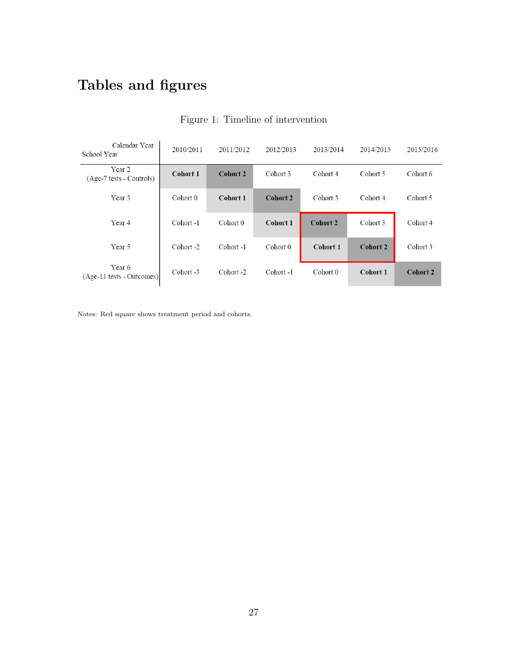# Tables and figures

| Calendar Year<br><b>School Year</b> | 2010/2011       | 2011/2012       | 2012/2013       | 2013/2014       | 2014/2015       | 2015/2016       |
|-------------------------------------|-----------------|-----------------|-----------------|-----------------|-----------------|-----------------|
| Year 2<br>(Age-7 tests - Controls)  | <b>Cohort 1</b> | <b>Cohort 2</b> | Cohort 3        | Cohort 4        | Cohort 5        | Cohort 6        |
| Year <sub>3</sub>                   | Cohort 0        | <b>Cohort 1</b> | <b>Cohort 2</b> | Cohort 3        | Cohort 4        | Cohort 5        |
| Year <sub>4</sub>                   | Cohort-1        | Cohort 0        | <b>Cohort 1</b> | <b>Cohort 2</b> | Cohort 3        | Cohort 4        |
| Year 5                              | Cohort -2       | Cohort-1        | Cohort 0        | <b>Cohort 1</b> | <b>Cohort 2</b> | Cohort 3        |
| Year 6<br>(Age-11 tests - Outcomes) | Cohort -3       | Cohort-2        | Cohort-1        | Cohort 0        | <b>Cohort 1</b> | <b>Cohort 2</b> |

## Figure 1: Timeline of intervention

Notes: Red square shows treatment period and cohorts.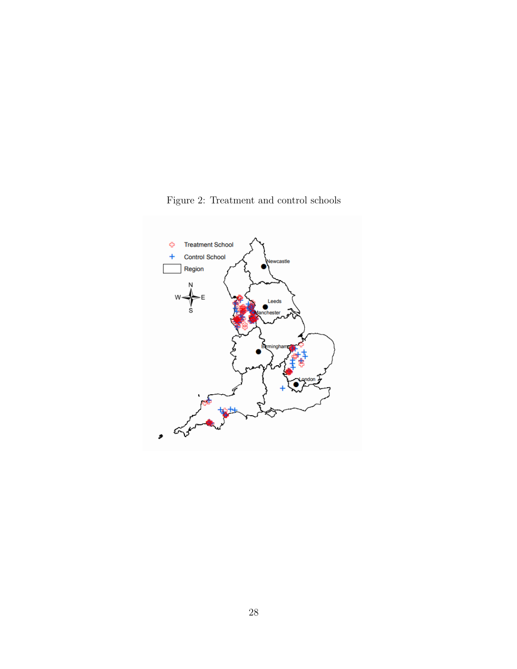

Figure 2: Treatment and control schools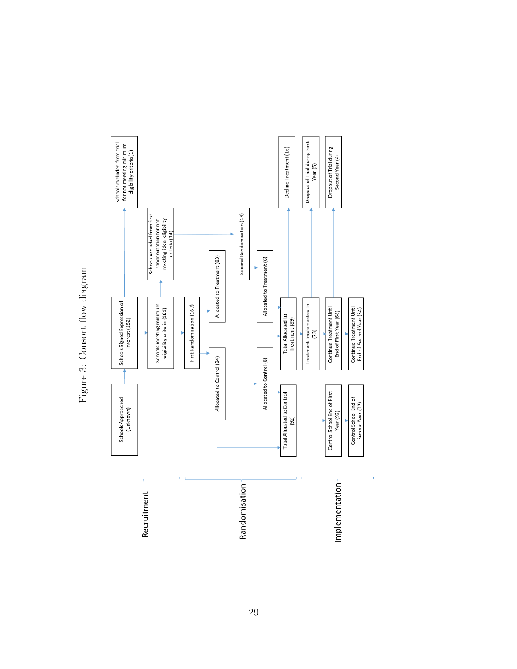

Figure 3: Consort flow diagram Figure 3: Consort flow diagram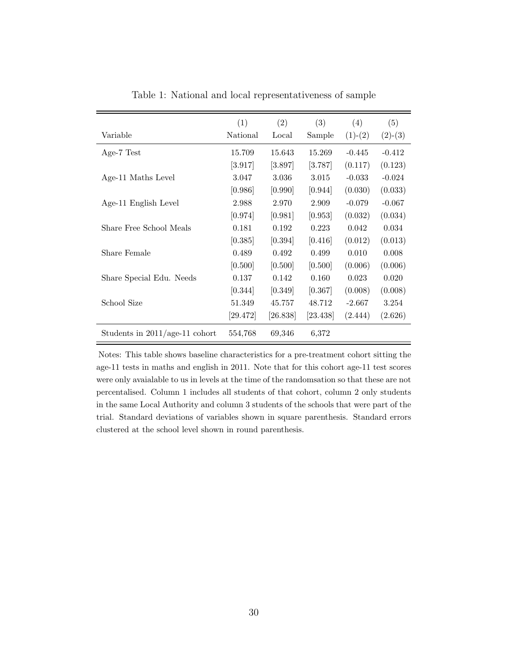| Variable                         | (1)<br>National        | (2)<br>Local | (3)<br>Sample         | (4)<br>$(1)-(2)$ | (5)<br>$(2)-(3)$ |
|----------------------------------|------------------------|--------------|-----------------------|------------------|------------------|
| Age-7 Test                       | 15.709                 | 15.643       | 15.269                | $-0.445$         | $-0.412$         |
|                                  | [3.917]                | [3.897]      | [3.787]               | (0.117)          | (0.123)          |
| Age-11 Maths Level               | 3.047                  | 3.036        | 3.015                 | $-0.033$         | $-0.024$         |
|                                  | [0.986]                | [0.990]      | [0.944]               | (0.030)          | (0.033)          |
| Age-11 English Level             | 2.988                  | 2.970        | 2.909                 | $-0.079$         | $-0.067$         |
|                                  | [0.974]                | [0.981]      | [0.953]               | (0.032)          | (0.034)          |
| Share Free School Meals          | 0.181                  | 0.192        | 0.223                 | 0.042            | 0.034            |
|                                  | [0.385]                | [0.394]      | [0.416]               | (0.012)          | (0.013)          |
| Share Female                     | 0.489                  | 0.492        | 0.499                 | 0.010            | 0.008            |
|                                  | [0.500]                | [0.500]      | [0.500]               | (0.006)          | (0.006)          |
| Share Special Edu. Needs         | 0.137                  | 0.142        | 0.160                 | 0.023            | 0.020            |
|                                  | [0.344]                | [0.349]      | [0.367]               | (0.008)          | (0.008)          |
| School Size                      | 51.349                 | 45.757       | 48.712                | $-2.667$         | 3.254            |
|                                  | $\left[ 29.472\right]$ | [26.838]     | $\left[23.438\right]$ | (2.444)          | (2.626)          |
| Students in $2011/age-11$ cohort | 554,768                | 69,346       | 6,372                 |                  |                  |

Table 1: National and local representativeness of sample

Notes: This table shows baseline characteristics for a pre-treatment cohort sitting the age-11 tests in maths and english in 2011. Note that for this cohort age-11 test scores were only avaialable to us in levels at the time of the randomsation so that these are not percentalised. Column 1 includes all students of that cohort, column 2 only students in the same Local Authority and column 3 students of the schools that were part of the trial. Standard deviations of variables shown in square parenthesis. Standard errors clustered at the school level shown in round parenthesis.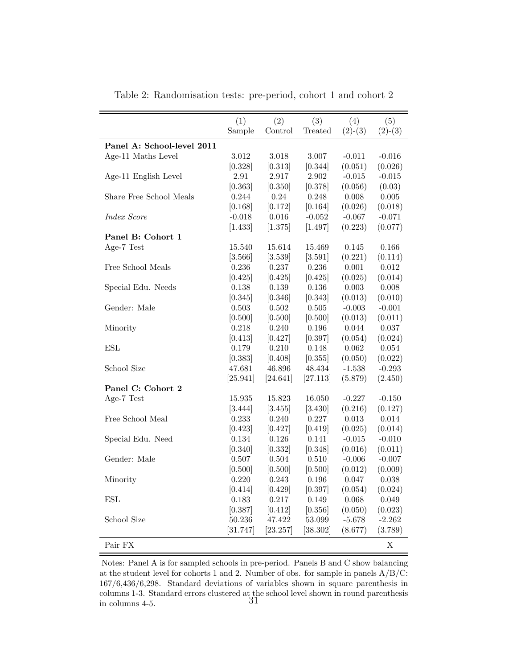|                            | (1)      | (2)      | (3)        | (4)       | (5)       |
|----------------------------|----------|----------|------------|-----------|-----------|
|                            | Sample   | Control  | Treated    | $(2)-(3)$ | $(2)-(3)$ |
| Panel A: School-level 2011 |          |          |            |           |           |
| Age-11 Maths Level         | 3.012    | 3.018    | $3.007\,$  | $-0.011$  | $-0.016$  |
|                            |          |          |            |           | (0.026)   |
|                            | [0.328]  | [0.313]  | [0.344]    | (0.051)   |           |
| Age-11 English Level       | $2.91\,$ | 2.917    | 2.902      | $-0.015$  | $-0.015$  |
|                            | [0.363]  | [0.350]  | [0.378]    | (0.056)   | (0.03)    |
| Share Free School Meals    | 0.244    | 0.24     | 0.248      | 0.008     | $0.005\,$ |
|                            | [0.168]  | [0.172]  | [0.164]    | (0.026)   | (0.018)   |
| <i>Index Score</i>         | $-0.018$ | 0.016    | $-0.052$   | $-0.067$  | $-0.071$  |
|                            | [1.433]  | [1.375]  | [1.497]    | (0.223)   | (0.077)   |
| Panel B: Cohort 1          |          |          |            |           |           |
| Age-7 Test                 | 15.540   | 15.614   | 15.469     | 0.145     | 0.166     |
|                            | [3.566]  | [3.539]  | [3.591]    | (0.221)   | (0.114)   |
| Free School Meals          | 0.236    | 0.237    | 0.236      | 0.001     | 0.012     |
|                            | [0.425]  | [0.425]  | [0.425]    | (0.025)   | (0.014)   |
| Special Edu. Needs         | 0.138    | 0.139    | 0.136      | 0.003     | 0.008     |
|                            | [0.345]  | [0.346]  | [0.343]    | (0.013)   | (0.010)   |
| Gender: Male               | 0.503    | 0.502    | 0.505      | $-0.003$  | $-0.001$  |
|                            | [0.500]  | [0.500]  | [0.500]    | (0.013)   | (0.011)   |
| Minority                   | 0.218    | 0.240    | 0.196      | 0.044     | 0.037     |
|                            | [0.413]  | [0.427]  | [0.397]    | (0.054)   | (0.024)   |
| ESL                        | 0.179    | 0.210    | 0.148      | 0.062     | 0.054     |
|                            | [0.383]  | [0.408]  | [0.355]    | (0.050)   | (0.022)   |
| School Size                | 47.681   | 46.896   | 48.434     | $-1.538$  | $-0.293$  |
|                            | [25.941] | [24.641] | [27.113]   | (5.879)   | (2.450)   |
| Panel C: Cohort 2          |          |          |            |           |           |
| Age-7 Test                 | 15.935   | 15.823   | 16.050     | $-0.227$  | $-0.150$  |
|                            | [3.444]  | [3.455]  | [3.430]    | (0.216)   | (0.127)   |
| Free School Meal           | 0.233    | 0.240    | 0.227      | 0.013     | 0.014     |
|                            | [0.423]  | [0.427]  | [0.419]    | (0.025)   | (0.014)   |
| Special Edu. Need          | 0.134    | 0.126    | 0.141      | $-0.015$  | $-0.010$  |
|                            | [0.340]  | [0.332]  | [0.348]    | (0.016)   | (0.011)   |
| Gender: Male               | 0.507    | 0.504    | 0.510      | $-0.006$  | $-0.007$  |
|                            | [0.500]  | [0.500]  | [0.500]    | (0.012)   | (0.009)   |
| Minority                   | 0.220    | 0.243    | 0.196      | 0.047     | 0.038     |
|                            | [0.414]  | [0.429]  | [0.397]    | (0.054)   | (0.024)   |
| <b>ESL</b>                 | 0.183    | 0.217    | 0.149      | 0.068     | 0.049     |
|                            | [0.387]  | [0.412]  | [0.356]    | (0.050)   | (0.023)   |
| School Size                | 50.236   | 47.422   | $53.099\,$ | $-5.678$  | $-2.262$  |
|                            | [31.747] | [23.257] | [38.302]   | (8.677)   | (3.789)   |
| Pair ${\rm FX}$            |          |          |            |           | X         |

Table 2: Randomisation tests: pre-period, cohort 1 and cohort 2

Notes: Panel A is for sampled schools in pre-period. Panels B and C show balancing at the student level for cohorts 1 and 2. Number of obs. for sample in panels  $A/B/C$ : 167/6,436/6,298. Standard deviations of variables shown in square parenthesis in columns 1-3. Standard errors clustered at the school level shown in round parenthesis in columns 4-5. 31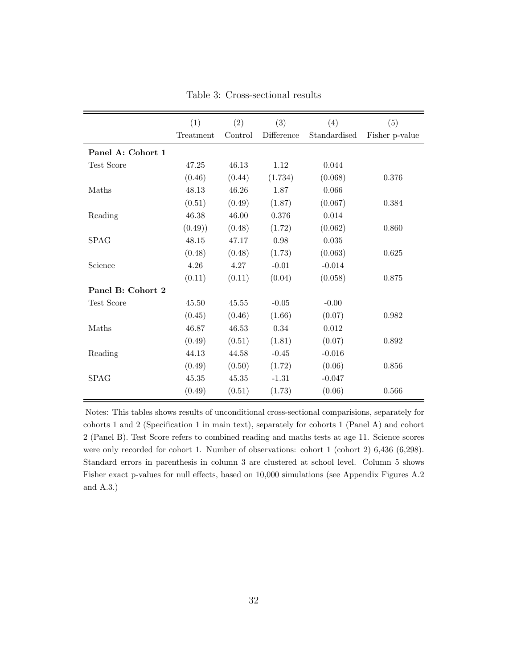|                   | (1)       | (2)     | (3)        | (4)          | (5)            |
|-------------------|-----------|---------|------------|--------------|----------------|
|                   | Treatment | Control | Difference | Standardised | Fisher p-value |
| Panel A: Cohort 1 |           |         |            |              |                |
| Test Score        | 47.25     | 46.13   | 1.12       | 0.044        |                |
|                   | (0.46)    | (0.44)  | (1.734)    | (0.068)      | 0.376          |
| Maths             | 48.13     | 46.26   | 1.87       | 0.066        |                |
|                   | (0.51)    | (0.49)  | (1.87)     | (0.067)      | 0.384          |
| Reading           | 46.38     | 46.00   | 0.376      | 0.014        |                |
|                   | (0.49)    | (0.48)  | (1.72)     | (0.062)      | 0.860          |
| <b>SPAG</b>       | 48.15     | 47.17   | 0.98       | 0.035        |                |
|                   | (0.48)    | (0.48)  | (1.73)     | (0.063)      | 0.625          |
| Science           | 4.26      | 4.27    | $-0.01$    | $-0.014$     |                |
|                   | (0.11)    | (0.11)  | (0.04)     | (0.058)      | 0.875          |
| Panel B: Cohort 2 |           |         |            |              |                |
| Test Score        | $45.50\,$ | 45.55   | $-0.05$    | $-0.00$      |                |
|                   | (0.45)    | (0.46)  | (1.66)     | (0.07)       | 0.982          |
| Maths             | 46.87     | 46.53   | 0.34       | 0.012        |                |
|                   | (0.49)    | (0.51)  | (1.81)     | (0.07)       | 0.892          |
| Reading           | 44.13     | 44.58   | $-0.45$    | $-0.016$     |                |
|                   | (0.49)    | (0.50)  | (1.72)     | (0.06)       | 0.856          |
| <b>SPAG</b>       | 45.35     | 45.35   | $-1.31$    | $-0.047$     |                |
|                   | (0.49)    | (0.51)  | (1.73)     | (0.06)       | 0.566          |

Table 3: Cross-sectional results

Notes: This tables shows results of unconditional cross-sectional comparisions, separately for cohorts 1 and 2 (Specification 1 in main text), separately for cohorts 1 (Panel A) and cohort 2 (Panel B). Test Score refers to combined reading and maths tests at age 11. Science scores were only recorded for cohort 1. Number of observations: cohort 1 (cohort 2) 6,436 (6,298). Standard errors in parenthesis in column 3 are clustered at school level. Column 5 shows Fisher exact p-values for null effects, based on 10,000 simulations (see Appendix Figures A.2 and A.3.)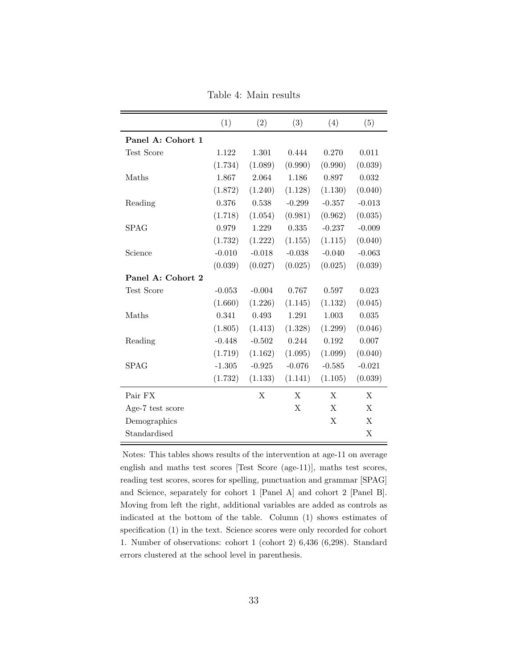|                   | (1)      | (2)      | (3)      | (4)      | (5)      |
|-------------------|----------|----------|----------|----------|----------|
| Panel A: Cohort 1 |          |          |          |          |          |
| Test Score        | 1.122    | 1.301    | 0.444    | 0.270    | 0.011    |
|                   | (1.734)  | (1.089)  | (0.990)  | (0.990)  | (0.039)  |
| Maths             | 1.867    | 2.064    | 1.186    | 0.897    | 0.032    |
|                   | (1.872)  | (1.240)  | (1.128)  | (1.130)  | (0.040)  |
| Reading           | 0.376    | 0.538    | $-0.299$ | $-0.357$ | $-0.013$ |
|                   | (1.718)  | (1.054)  | (0.981)  | (0.962)  | (0.035)  |
| <b>SPAG</b>       | 0.979    | 1.229    | 0.335    | $-0.237$ | $-0.009$ |
|                   | (1.732)  | (1.222)  | (1.155)  | (1.115)  | (0.040)  |
| Science           | $-0.010$ | $-0.018$ | $-0.038$ | $-0.040$ | $-0.063$ |
|                   | (0.039)  | (0.027)  | (0.025)  | (0.025)  | (0.039)  |
| Panel A: Cohort 2 |          |          |          |          |          |
| Test Score        | $-0.053$ | $-0.004$ | 0.767    | 0.597    | 0.023    |
|                   | (1.660)  | (1.226)  | (1.145)  | (1.132)  | (0.045)  |
| Maths             | 0.341    | 0.493    | 1.291    | 1.003    | 0.035    |
|                   | (1.805)  | (1.413)  | (1.328)  | (1.299)  | (0.046)  |
| Reading           | $-0.448$ | $-0.502$ | 0.244    | 0.192    | 0.007    |
|                   | (1.719)  | (1.162)  | (1.095)  | (1.099)  | (0.040)  |
| SPAG              | $-1.305$ | $-0.925$ | $-0.076$ | $-0.585$ | $-0.021$ |
|                   | (1.732)  | (1.133)  | (1.141)  | (1.105)  | (0.039)  |
| Pair FX           |          | X        | X        | X        | X        |
| Age-7 test score  |          |          | X        | X        | X        |
| Demographics      |          |          |          | X        | X        |
| Standardised      |          |          |          |          | X        |

Table 4: Main results

Notes: This tables shows results of the intervention at age-11 on average english and maths test scores [Test Score (age-11)], maths test scores, reading test scores, scores for spelling, punctuation and grammar [SPAG] and Science, separately for cohort 1 [Panel A] and cohort 2 [Panel B]. Moving from left the right, additional variables are added as controls as indicated at the bottom of the table. Column (1) shows estimates of specification (1) in the text. Science scores were only recorded for cohort 1. Number of observations: cohort 1 (cohort 2) 6,436 (6,298). Standard errors clustered at the school level in parenthesis.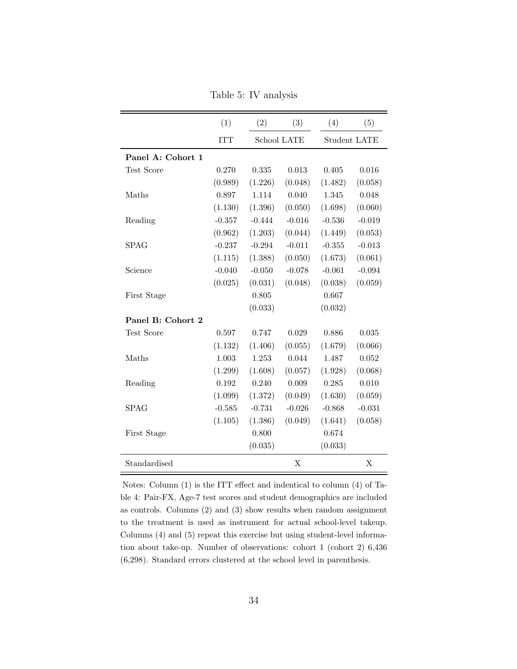Table 5: IV analysis

|                   | (1)        | (2)      | (3)         | (4)          | (5)      |
|-------------------|------------|----------|-------------|--------------|----------|
|                   | <b>ITT</b> |          | School LATE | Student LATE |          |
| Panel A: Cohort 1 |            |          |             |              |          |
| Test Score        | 0.270      | 0.335    | 0.013       | 0.405        | 0.016    |
|                   | (0.989)    | (1.226)  | (0.048)     | (1.482)      | (0.058)  |
| Maths             | 0.897      | 1.114    | 0.040       | 1.345        | 0.048    |
|                   | (1.130)    | (1.396)  | (0.050)     | (1.698)      | (0.060)  |
| Reading           | $-0.357$   | $-0.444$ | $-0.016$    | $-0.536$     | $-0.019$ |
|                   | (0.962)    | (1.203)  | (0.044)     | (1.449)      | (0.053)  |
| <b>SPAG</b>       | $-0.237$   | $-0.294$ | $-0.011$    | $-0.355$     | $-0.013$ |
|                   | (1.115)    | (1.388)  | (0.050)     | (1.673)      | (0.061)  |
| Science           | $-0.040$   | $-0.050$ | $-0.078$    | $-0.061$     | $-0.094$ |
|                   | (0.025)    | (0.031)  | (0.048)     | (0.038)      | (0.059)  |
| First Stage       |            | 0.805    |             | 0.667        |          |
|                   |            | (0.033)  |             | (0.032)      |          |
| Panel B: Cohort 2 |            |          |             |              |          |
| Test Score        | 0.597      | 0.747    | 0.029       | 0.886        | 0.035    |
|                   | (1.132)    | (1.406)  | (0.055)     | (1.679)      | (0.066)  |
| Maths             | 1.003      | 1.253    | 0.044       | 1.487        | 0.052    |
|                   | (1.299)    | (1.608)  | (0.057)     | (1.928)      | (0.068)  |
| Reading           | 0.192      | 0.240    | 0.009       | 0.285        | 0.010    |
|                   | (1.099)    | (1.372)  | (0.049)     | (1.630)      | (0.059)  |
| <b>SPAG</b>       | $-0.585$   | $-0.731$ | $-0.026$    | $-0.868$     | $-0.031$ |
|                   | (1.105)    | (1.386)  | (0.049)     | (1.641)      | (0.058)  |
| First Stage       |            | 0.800    |             | 0.674        |          |
|                   |            | (0.035)  |             | (0.033)      |          |
| Standardised      |            |          | X           |              | X        |

Notes: Column (1) is the ITT effect and indentical to column (4) of Table 4: Pair-FX, Age-7 test scores and student demographics are included as controls. Columns (2) and (3) show results when random assignment to the treatment is used as instrument for actual school-level takeup. Columns (4) and (5) repeat this exercise but using student-level information about take-up. Number of observations: cohort 1 (cohort 2) 6,436 (6,298). Standard errors clustered at the school level in parenthesis.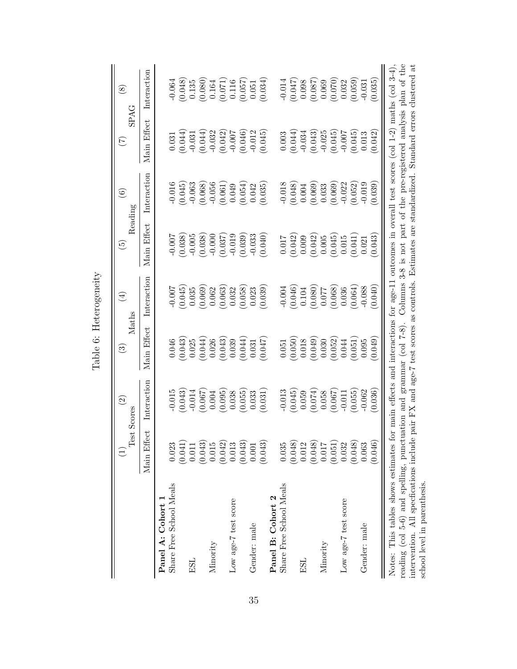|                                                                                                                                             |                 | $\widehat{\mathfrak{D}}$<br>est Scores | $\rm Maths$<br>$\odot$                                                                                 | $\bigoplus$ | $\widehat{\boldsymbol{\varpi}}$ | $\widehat{\mathfrak{S}}$<br>Reading | E                                                          | $\circledast$<br><b>SPAG</b>                    |
|---------------------------------------------------------------------------------------------------------------------------------------------|-----------------|----------------------------------------|--------------------------------------------------------------------------------------------------------|-------------|---------------------------------|-------------------------------------|------------------------------------------------------------|-------------------------------------------------|
|                                                                                                                                             | ect<br>Main Eff | Interaction                            | Main Effect                                                                                            | Interaction | Main Effect                     | Interaction                         | Main Effect                                                | Interaction                                     |
| Panel A: Cohort                                                                                                                             |                 |                                        |                                                                                                        |             |                                 |                                     |                                                            |                                                 |
| Share Free School Meals                                                                                                                     | 0.023           | $-0.015$                               | 0.046                                                                                                  | $-0.007$    | $-0.007$                        | $-0.016$                            | 0.031                                                      | $-0.064$                                        |
|                                                                                                                                             | (0.041)         | (0.043)                                | (0.043)                                                                                                | (0.045)     | (0.038)                         | (0.045)                             | (0.044)                                                    | (0.048)                                         |
| ESL                                                                                                                                         | 0.011           | $-0.014$                               | 0.025                                                                                                  | 0.035       | $-0.005$                        | $-0.063$                            | $-0.031$                                                   | $0.135\,$                                       |
|                                                                                                                                             | (0.043)         | (0.067)                                | (0.044)                                                                                                | (0.069)     | (0.038)                         | (0.068)                             | (0.044)                                                    | $\begin{array}{c} (0.080) \\ 0.164 \end{array}$ |
| Minority                                                                                                                                    | $0.015\,$       | 0.004                                  | 0.026                                                                                                  | 0.062       | $-0.000$                        | $-0.056$                            | $-0.032$                                                   |                                                 |
|                                                                                                                                             | (0.042)         | (0.095)                                | (0.043)                                                                                                | (0.063)     | (0.037)                         | (0.061)                             | (0.042)                                                    | $\left(0.071\right)$ $0.116$                    |
| Low age-7 test score                                                                                                                        | 0.013           | 0.038                                  | 0.039                                                                                                  | 0.032       | $-0.019$                        | 0.049                               | $-0.007$                                                   |                                                 |
|                                                                                                                                             | (0.043)         | (0.055)                                | (0.044)                                                                                                | (0.058)     | (0.039)                         | (0.054)                             | (0.046)                                                    | (0.057)                                         |
| Gender: male                                                                                                                                | 0.001           | 0.033                                  | 0.031                                                                                                  | 0.023       | $-0.033$                        | 0.042                               | $-0.012$                                                   | 0.051                                           |
|                                                                                                                                             | (0.043)         | (0.031)                                | (0.047)                                                                                                | (0.039)     | (0.040)                         | (0.035)                             | (0.045)                                                    | (0.034)                                         |
| Panel B: Cohort 2                                                                                                                           |                 |                                        |                                                                                                        |             |                                 |                                     |                                                            |                                                 |
| Share Free School Meals                                                                                                                     | 0.035           | $-0.013$                               | 0.051                                                                                                  | $-0.004$    | 0.017                           | $-0.018$                            | $0.003$                                                    | $-0.014$                                        |
|                                                                                                                                             | (0.048)         | (0.045)                                | (0.050)                                                                                                | (0.046)     | (0.042)                         | (0.048)                             | (0.044)                                                    | (0.047)                                         |
| ESL                                                                                                                                         | 0.012           | 0.059                                  | 0.018                                                                                                  | 0.104       | 0.009                           | 0.004                               | $-0.034$                                                   | 0.098                                           |
|                                                                                                                                             | (0.048)         | (0.074)                                | (0.049)                                                                                                | (0.080)     | (0.042)                         | (0.069)                             | (0.043)                                                    | (0.087)                                         |
| Minority                                                                                                                                    | 0.017           | 0.058                                  | 0.030                                                                                                  | 0.077       | 0.005                           | 0.033                               | $-0.025$                                                   | 0.069                                           |
|                                                                                                                                             | (0.051)         | (0.067)                                | (0.052)                                                                                                | (0.068)     | (0.045)                         | (0.069)                             | (0.045)                                                    | (0.070)                                         |
| Low age-7 test score                                                                                                                        | 0.032           | $-0.011$                               | 0.044                                                                                                  | 0.036       | 0.015                           | $-0.022$                            | $-0.007$                                                   | 0.032                                           |
|                                                                                                                                             | (0.048)         | (0.055)                                | (0.051)                                                                                                | (0.064)     | (0.041)                         | (0.052)                             | (0.045)                                                    | (0.059)                                         |
| Gender: male                                                                                                                                | 0.063           | $-0.062$                               | 0.095                                                                                                  | $-0.088$    | 0.021                           | $-0.019$                            | 0.013                                                      | $-0.031$                                        |
|                                                                                                                                             | (0.046)         | (0.036)                                | (0.049)                                                                                                | (0.040)     | 0.043                           | (0.039)                             | (0.042)                                                    | (0.035)                                         |
| Notes: This tables shows estimates                                                                                                          |                 |                                        | for main effects and interactions for age-11 outcomes in overall test scores (col 1-2) maths (col 3-4) |             |                                 |                                     |                                                            |                                                 |
| reading (col 5-6) and spelling, punctuation and grammar (col 7-8).                                                                          |                 |                                        |                                                                                                        | Columns     |                                 |                                     | 3-8 is not part of the pre-registered analysis plan of the |                                                 |
| intervention. All specfications include pair FX and age-7 test scores as controls. Estimates are standardized. Standard errors clustered at |                 |                                        |                                                                                                        |             |                                 |                                     |                                                            |                                                 |
| school level in parenthesis.                                                                                                                |                 |                                        |                                                                                                        |             |                                 |                                     |                                                            |                                                 |

Table 6: Heterogeneity Table 6: Heterogeneity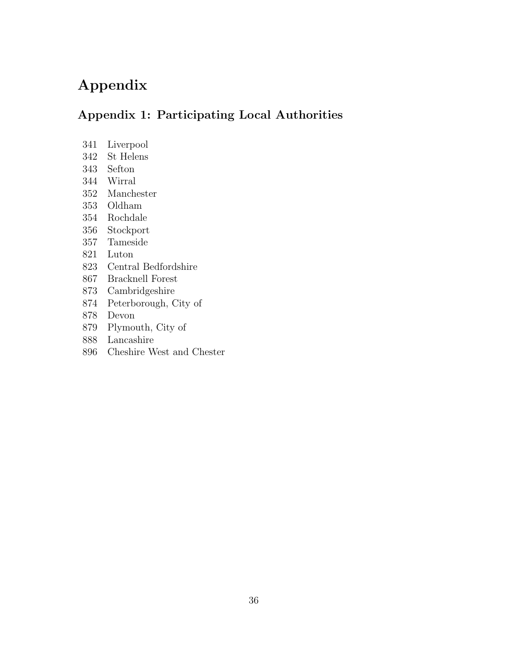# Appendix

## Appendix 1: Participating Local Authorities

- 341 Liverpool
- 342 St Helens
- 343 Sefton
- 344 Wirral
- 352 Manchester
- 353 Oldham
- 354 Rochdale
- 356 Stockport
- 357 Tameside
- 821 Luton
- 823 Central Bedfordshire
- 867 Bracknell Forest
- 873 Cambridgeshire
- 874 Peterborough, City of
- 878 Devon
- 879 Plymouth, City of
- 888 Lancashire
- 896 Cheshire West and Chester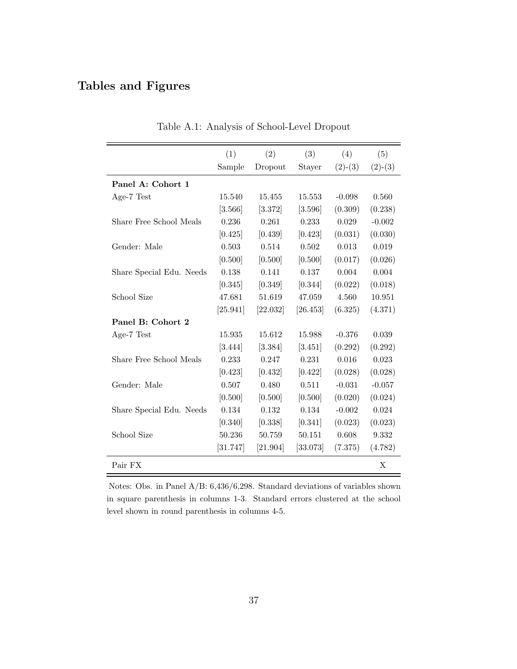## Tables and Figures

|                          | (1)      | (2)      | (3)      | (4)       | (5)       |
|--------------------------|----------|----------|----------|-----------|-----------|
|                          | Sample   | Dropout  | Stayer   | $(2)-(3)$ | $(2)-(3)$ |
| Panel A: Cohort 1        |          |          |          |           |           |
| Age-7 Test               | 15.540   | 15.455   | 15.553   | $-0.098$  | 0.560     |
|                          | [3.566]  | [3.372]  | [3.596]  | (0.309)   | (0.238)   |
| Share Free School Meals  | 0.236    | 0.261    | 0.233    | 0.029     | $-0.002$  |
|                          | [0.425]  | [0.439]  | [0.423]  | (0.031)   | (0.030)   |
| Gender: Male             | 0.503    | 0.514    | 0.502    | 0.013     | 0.019     |
|                          | [0.500]  | [0.500]  | [0.500]  | (0.017)   | (0.026)   |
| Share Special Edu. Needs | 0.138    | 0.141    | 0.137    | 0.004     | 0.004     |
|                          | [0.345]  | [0.349]  | [0.344]  | (0.022)   | (0.018)   |
| School Size              | 47.681   | 51.619   | 47.059   | 4.560     | 10.951    |
|                          | [25.941] | [22.032] | [26.453] | (6.325)   | (4.371)   |
| Panel B: Cohort 2        |          |          |          |           |           |
| Age-7 Test               | 15.935   | 15.612   | 15.988   | $-0.376$  | 0.039     |
|                          | [3.444]  | [3.384]  | [3.451]  | (0.292)   | (0.292)   |
| Share Free School Meals  | 0.233    | 0.247    | 0.231    | 0.016     | 0.023     |
|                          | [0.423]  | [0.432]  | [0.422]  | (0.028)   | (0.028)   |
| Gender: Male             | 0.507    | 0.480    | 0.511    | $-0.031$  | $-0.057$  |
|                          | [0.500]  | [0.500]  | [0.500]  | (0.020)   | (0.024)   |
| Share Special Edu. Needs | 0.134    | 0.132    | 0.134    | $-0.002$  | 0.024     |
|                          | [0.340]  | [0.338]  | [0.341]  | (0.023)   | (0.023)   |
| School Size              | 50.236   | 50.759   | 50.151   | 0.608     | 9.332     |
|                          | [31.747] | [21.904] | [33.073] | (7.375)   | (4.782)   |
| Pair FX                  |          |          |          |           | X         |

Table A.1: Analysis of School-Level Dropout

Notes: Obs. in Panel A/B: 6,436/6,298. Standard deviations of variables shown in square parenthesis in columns 1-3. Standard errors clustered at the school level shown in round parenthesis in columns 4-5.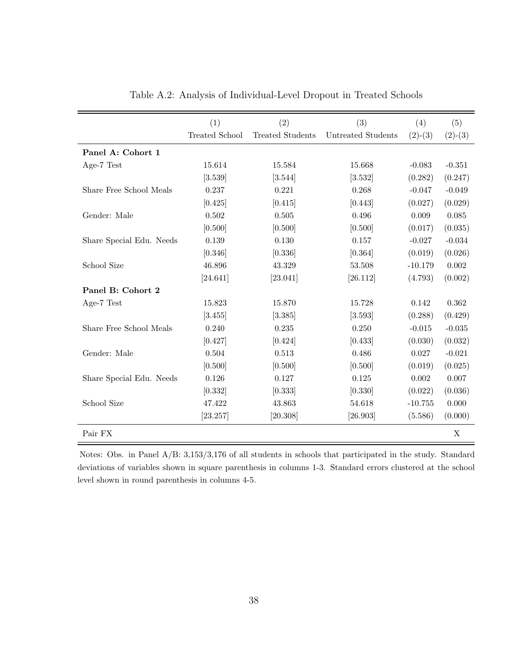|                          | (1)                   | (2)                     | (3)                | (4)       | (5)       |
|--------------------------|-----------------------|-------------------------|--------------------|-----------|-----------|
|                          | <b>Treated School</b> | <b>Treated Students</b> | Untreated Students | $(2)-(3)$ | $(2)-(3)$ |
| Panel A: Cohort 1        |                       |                         |                    |           |           |
| Age-7 Test               | 15.614                | 15.584                  | 15.668             | $-0.083$  | $-0.351$  |
|                          | [3.539]               | [3.544]                 | [3.532]            | (0.282)   | (0.247)   |
| Share Free School Meals  | 0.237                 | 0.221                   | 0.268              | $-0.047$  | $-0.049$  |
|                          | [0.425]               | [0.415]                 | [0.443]            | (0.027)   | (0.029)   |
| Gender: Male             | 0.502                 | 0.505                   | 0.496              | 0.009     | 0.085     |
|                          | [0.500]               | [0.500]                 | [0.500]            | (0.017)   | (0.035)   |
| Share Special Edu. Needs | 0.139                 | 0.130                   | 0.157              | $-0.027$  | $-0.034$  |
|                          | [0.346]               | [0.336]                 | [0.364]            | (0.019)   | (0.026)   |
| School Size              | 46.896                | 43.329                  | 53.508             | $-10.179$ | 0.002     |
|                          | [24.641]              | [23.041]                | [26.112]           | (4.793)   | (0.002)   |
| Panel B: Cohort 2        |                       |                         |                    |           |           |
| Age-7 Test               | 15.823                | 15.870                  | 15.728             | 0.142     | 0.362     |
|                          | [3.455]               | [3.385]                 | [3.593]            | (0.288)   | (0.429)   |
| Share Free School Meals  | 0.240                 | 0.235                   | 0.250              | $-0.015$  | $-0.035$  |
|                          | [0.427]               | [0.424]                 | [0.433]            | (0.030)   | (0.032)   |
| Gender: Male             | 0.504                 | 0.513                   | 0.486              | 0.027     | $-0.021$  |
|                          | [0.500]               | [0.500]                 | [0.500]            | (0.019)   | (0.025)   |
| Share Special Edu. Needs | 0.126                 | 0.127                   | 0.125              | 0.002     | 0.007     |
|                          | [0.332]               | [0.333]                 | [0.330]            | (0.022)   | (0.036)   |
| School Size              | 47.422                | 43.863                  | 54.618             | $-10.755$ | 0.000     |
|                          | [23.257]              | [20.308]                | [26.903]           | (5.586)   | (0.000)   |
| Pair FX                  |                       |                         |                    |           | X         |

Table A.2: Analysis of Individual-Level Dropout in Treated Schools

Notes: Obs. in Panel A/B: 3,153/3,176 of all students in schools that participated in the study. Standard deviations of variables shown in square parenthesis in columns 1-3. Standard errors clustered at the school level shown in round parenthesis in columns 4-5.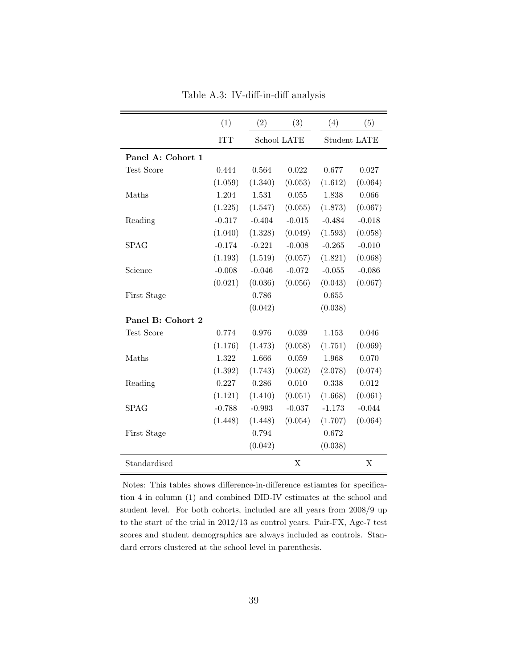|                   | (1)        | (2)      | (3)         | (4)                 | (5)      |
|-------------------|------------|----------|-------------|---------------------|----------|
|                   | <b>ITT</b> |          | School LATE | <b>Student LATE</b> |          |
| Panel A: Cohort 1 |            |          |             |                     |          |
| Test Score        | 0.444      | 0.564    | 0.022       | 0.677               | 0.027    |
|                   | (1.059)    | (1.340)  | (0.053)     | (1.612)             | (0.064)  |
| Maths             | 1.204      | 1.531    | 0.055       | 1.838               | 0.066    |
|                   | (1.225)    | (1.547)  | (0.055)     | (1.873)             | (0.067)  |
| Reading           | $-0.317$   | $-0.404$ | $-0.015$    | $-0.484$            | $-0.018$ |
|                   | (1.040)    | (1.328)  | (0.049)     | (1.593)             | (0.058)  |
| <b>SPAG</b>       | $-0.174$   | $-0.221$ | $-0.008$    | $-0.265$            | $-0.010$ |
|                   | (1.193)    | (1.519)  | (0.057)     | (1.821)             | (0.068)  |
| Science           | $-0.008$   | $-0.046$ | $-0.072$    | $-0.055$            | $-0.086$ |
|                   | (0.021)    | (0.036)  | (0.056)     | (0.043)             | (0.067)  |
| First Stage       |            | 0.786    |             | 0.655               |          |
|                   |            | (0.042)  |             | (0.038)             |          |
| Panel B: Cohort 2 |            |          |             |                     |          |
| Test Score        | 0.774      | 0.976    | 0.039       | 1.153               | 0.046    |
|                   | (1.176)    | (1.473)  | (0.058)     | (1.751)             | (0.069)  |
| Maths             | 1.322      | 1.666    | 0.059       | 1.968               | 0.070    |
|                   | (1.392)    | (1.743)  | (0.062)     | (2.078)             | (0.074)  |
| Reading           | 0.227      | 0.286    | 0.010       | 0.338               | 0.012    |
|                   | (1.121)    | (1.410)  | (0.051)     | (1.668)             | (0.061)  |
| SPAG              | $-0.788$   | $-0.993$ | $-0.037$    | $-1.173$            | $-0.044$ |
|                   | (1.448)    | (1.448)  | (0.054)     | (1.707)             | (0.064)  |
| First Stage       |            | 0.794    |             | 0.672               |          |
|                   |            | (0.042)  |             | (0.038)             |          |
| Standardised      |            |          | X           |                     | X        |

Table A.3: IV-diff-in-diff analysis

Notes: This tables shows difference-in-difference estiamtes for specification 4 in column (1) and combined DID-IV estimates at the school and student level. For both cohorts, included are all years from 2008/9 up to the start of the trial in 2012/13 as control years. Pair-FX, Age-7 test scores and student demographics are always included as controls. Standard errors clustered at the school level in parenthesis.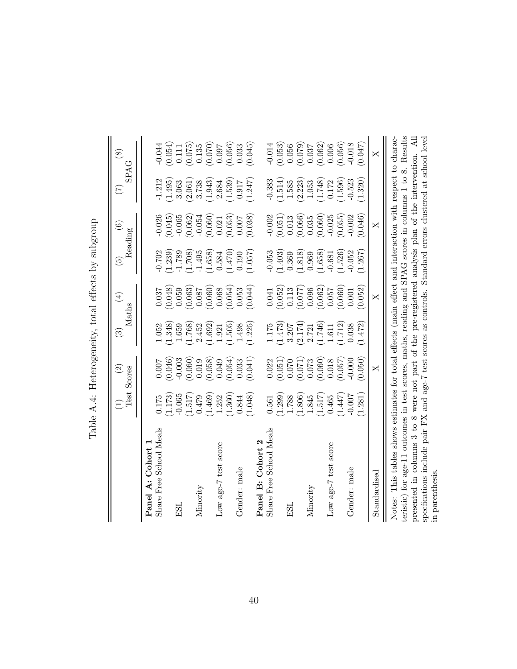|                                                                                                                                                                                                                                                                                                                                                                                                                                                                 | Test<br>$\widehat{\Xi}$     | $\widehat{\mathfrak{D}}$<br>Scores | $\widehat{\mathbb{C}}$      | $\bigoplus$<br>$\rm Maths$  | $\widetilde{\mathfrak{G}}$  | $\odot$<br>Reading          | E                           | $\circledast$<br><b>SPAG</b>                               |
|-----------------------------------------------------------------------------------------------------------------------------------------------------------------------------------------------------------------------------------------------------------------------------------------------------------------------------------------------------------------------------------------------------------------------------------------------------------------|-----------------------------|------------------------------------|-----------------------------|-----------------------------|-----------------------------|-----------------------------|-----------------------------|------------------------------------------------------------|
| Share Free School Meals<br>Cohort<br>Panel A:                                                                                                                                                                                                                                                                                                                                                                                                                   | 0.175                       | 0.007                              | 1.052                       | 0.037                       | $-0.702$                    | $-0.026$                    | $-1.212$                    | $-0.044$                                                   |
| ESL                                                                                                                                                                                                                                                                                                                                                                                                                                                             | (1.173)<br>$-0.065$         | (0.046)<br>$-0.003$                | (1.348)<br>1.659            | (0.048)<br>0.059            | (1.239)<br>$-1.789$         | (0.045)<br>$-0.065$         | (1.495)<br>3.063            | (0.054)<br>$0.111\,$                                       |
| Minority                                                                                                                                                                                                                                                                                                                                                                                                                                                        | (1.517)<br>0.479            | (0.060)<br>0.019                   | (1.768)<br>2.452            | (0.063)<br>0.087            | $(1.708)$<br>$-1.495$       | (0.062)<br>$-0.054$         | (2.061)<br>3.738            | (0.075)<br>0.135                                           |
| Low age-7 test score                                                                                                                                                                                                                                                                                                                                                                                                                                            | (1.469)<br>(1.360)<br>1.252 | (0.054)<br>(0.058)<br>0.049        | (1.692)<br>(1.505)<br>1.921 | (0.054)<br>(0.060)<br>0.068 | (1.470)<br>(1.658)<br>0.584 | (0.053)<br>(0.060)<br>0.021 | (1.943)<br>(1.539)<br>2.684 | (0.070)<br>760.0                                           |
| Gender: male                                                                                                                                                                                                                                                                                                                                                                                                                                                    | (1.048)<br>0.844            | (0.041)<br>0.033                   | (1.225)<br>1.498            | (0.044)<br>0.053            | (1.057)<br>0.190            | (0.038)<br>0.007            | (1.247)<br>0.917            | $\left(0.056\right)$ $\left(0.033\right)$<br>(0.045)       |
| Share Free School Meals<br>Cohort<br>Panel B:                                                                                                                                                                                                                                                                                                                                                                                                                   | 0.561                       | 0.022                              | 1.175                       | 0.041                       | $-0.053$                    | $-0.002$                    | $-0.383$                    | $-0.014$                                                   |
| ESL                                                                                                                                                                                                                                                                                                                                                                                                                                                             | (1.299)<br>1.788            | (0.051)<br>0.070                   | (1.473)<br>3.207            | (0.052)<br>0.113            | (1.403)<br>0.369            | (0.051)<br>0.013            | $\left( 1.514\right)$ 1.585 | (0.053)<br>0.056                                           |
| Minority                                                                                                                                                                                                                                                                                                                                                                                                                                                        | (1.806)<br>(1.517)<br>1.845 | (0.060)<br>(0.071)<br>0.073        | (2.174)<br>(1.746)<br>2.721 | (0.062)<br>(0.077)<br>0.096 | (1.818)<br>(1.658)<br>0.969 | (0.060)<br>(0.066)<br>0.035 | (2.223)<br>(1.748)<br>1.053 | (0.079)<br>0.037                                           |
| Low age-7 test score                                                                                                                                                                                                                                                                                                                                                                                                                                            | (1.447)<br>0.465            | (0.057)<br>0.018                   | (1.712)<br>1.611            | (0.060)<br>0.057            | (1.526)<br>$-0.681$         | $-0.025$<br>(0.055)         | (1.596)<br>0.172            | (0.056)<br>$\begin{array}{c} (0.062) \\ 0.006 \end{array}$ |
| Gender: male                                                                                                                                                                                                                                                                                                                                                                                                                                                    | (1.281)<br>$-0.007$         | (0.050)<br>$-0.000$                | (1.472)<br>0.038            | (0.052)<br>0.001            | $-0.052$<br>(1.267)         | (0.046)<br>$-0.002$         | (1.320)<br>$-0.523$         | (0.047)<br>$-0.018$                                        |
| Standardised                                                                                                                                                                                                                                                                                                                                                                                                                                                    |                             | $\times$                           |                             | $\mathsf{X}$                |                             | X                           |                             | $\times$                                                   |
| teristic) for age-11 outcomes in test scores, maths, reading and SPAG scores in columns 1 to 8. Results<br>Notes: This tables shows estimates for total effects (main effect and interaction with respect to charac-<br>presented in columns 3 to 8 were not part of the pre-registered analysis plan of the intervention. All<br>specfications include pair FX and age-7 test scores as controls. Standard errors clustered at school level<br>in parenthesis. |                             |                                    |                             |                             |                             |                             |                             |                                                            |

Table A.4: Heterogeneity, total effects by subgroup Table A.4: Heterogeneity, total effects by subgroup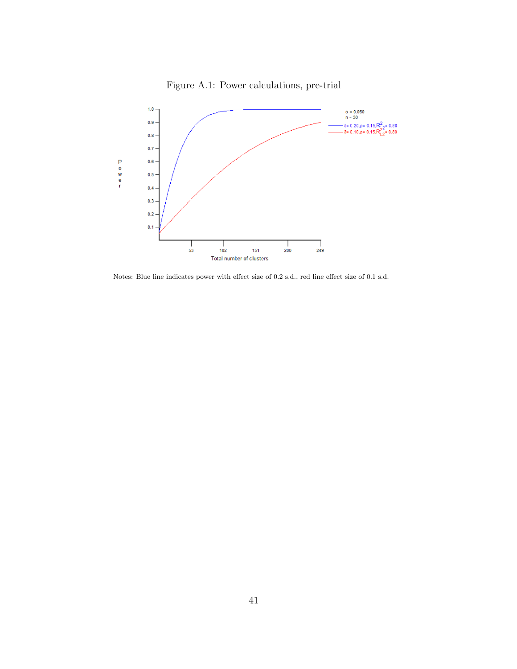

Figure A.1: Power calculations, pre-trial

Notes: Blue line indicates power with effect size of 0.2 s.d., red line effect size of 0.1 s.d.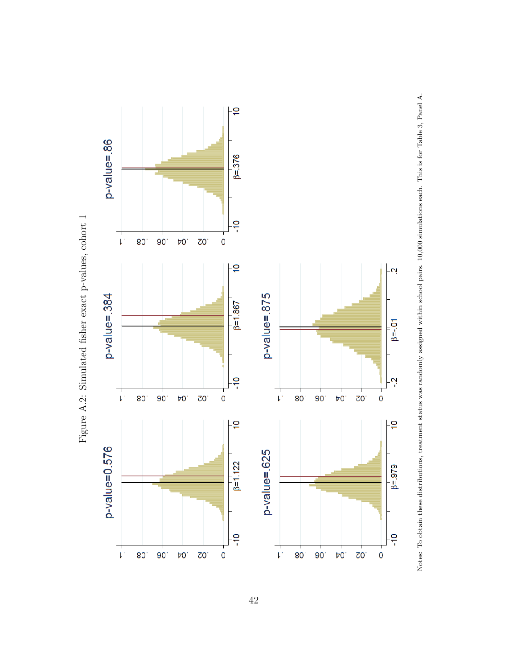